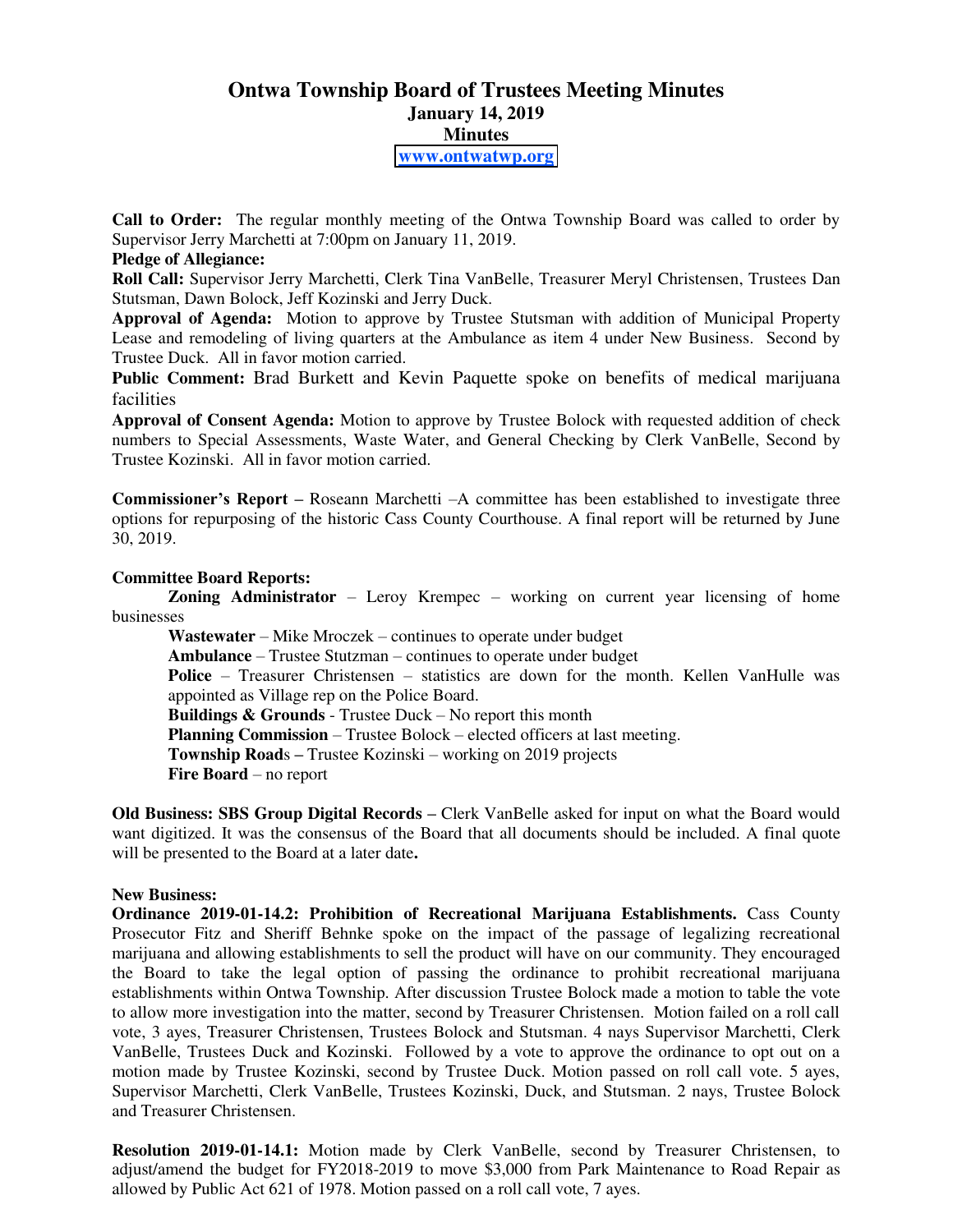# **Ontwa Township Board of Trustees Meeting Minutes January 14, 2019 Minutes [www.ontwatwp.org](http://www.ontwatwp.org/)**

**Call to Order:** The regular monthly meeting of the Ontwa Township Board was called to order by Supervisor Jerry Marchetti at 7:00pm on January 11, 2019.

### **Pledge of Allegiance:**

**Roll Call:** Supervisor Jerry Marchetti, Clerk Tina VanBelle, Treasurer Meryl Christensen, Trustees Dan Stutsman, Dawn Bolock, Jeff Kozinski and Jerry Duck.

**Approval of Agenda:** Motion to approve by Trustee Stutsman with addition of Municipal Property Lease and remodeling of living quarters at the Ambulance as item 4 under New Business. Second by Trustee Duck. All in favor motion carried.

**Public Comment:** Brad Burkett and Kevin Paquette spoke on benefits of medical marijuana facilities

**Approval of Consent Agenda:** Motion to approve by Trustee Bolock with requested addition of check numbers to Special Assessments, Waste Water, and General Checking by Clerk VanBelle, Second by Trustee Kozinski. All in favor motion carried.

**Commissioner's Report** – Roseann Marchetti – A committee has been established to investigate three options for repurposing of the historic Cass County Courthouse. A final report will be returned by June 30, 2019.

#### **Committee Board Reports:**

**Zoning Administrator** – Leroy Krempec – working on current year licensing of home businesses

**Wastewater** – Mike Mroczek – continues to operate under budget

**Ambulance** – Trustee Stutzman – continues to operate under budget

Police – Treasurer Christensen – statistics are down for the month. Kellen VanHulle was appointed as Village rep on the Police Board.

**Buildings & Grounds** - Trustee Duck – No report this month

**Planning Commission** – Trustee Bolock – elected officers at last meeting.

**Township Road**s – Trustee Kozinski – working on 2019 projects

**Fire Board** – no report

**Old Business: SBS Group Digital Records** – Clerk VanBelle asked for input on what the Board would want digitized. It was the consensus of the Board that all documents should be included. A final quote will be presented to the Board at a later date**.**

#### **New Business:**

**Ordinance 2019-01-14.2: Prohibition of Recreational Marijuana Establishments.** Cass County Prosecutor Fitz and Sheriff Behnke spoke on the impact of the passage of legalizing recreational marijuana and allowing establishments to sell the product will have on our community. They encouraged the Board to take the legal option of passing the ordinance to prohibit recreational marijuana establishments within Ontwa Township. After discussion Trustee Bolock made a motion to table the vote to allow more investigation into the matter, second by Treasurer Christensen. Motion failed on a roll call vote, 3 ayes, Treasurer Christensen, Trustees Bolock and Stutsman. 4 nays Supervisor Marchetti, Clerk VanBelle, Trustees Duck and Kozinski. Followed by a vote to approve the ordinance to opt out on a motion made by Trustee Kozinski, second by Trustee Duck. Motion passed on roll call vote. 5 ayes, Supervisor Marchetti, Clerk VanBelle, Trustees Kozinski, Duck, and Stutsman. 2 nays, Trustee Bolock and Treasurer Christensen.

**Resolution 2019-01-14.1:** Motion made by Clerk VanBelle, second by Treasurer Christensen, to adjust/amend the budget for FY2018-2019 to move \$3,000 from Park Maintenance to Road Repair as allowed by Public Act 621 of 1978. Motion passed on a roll call vote, 7 ayes.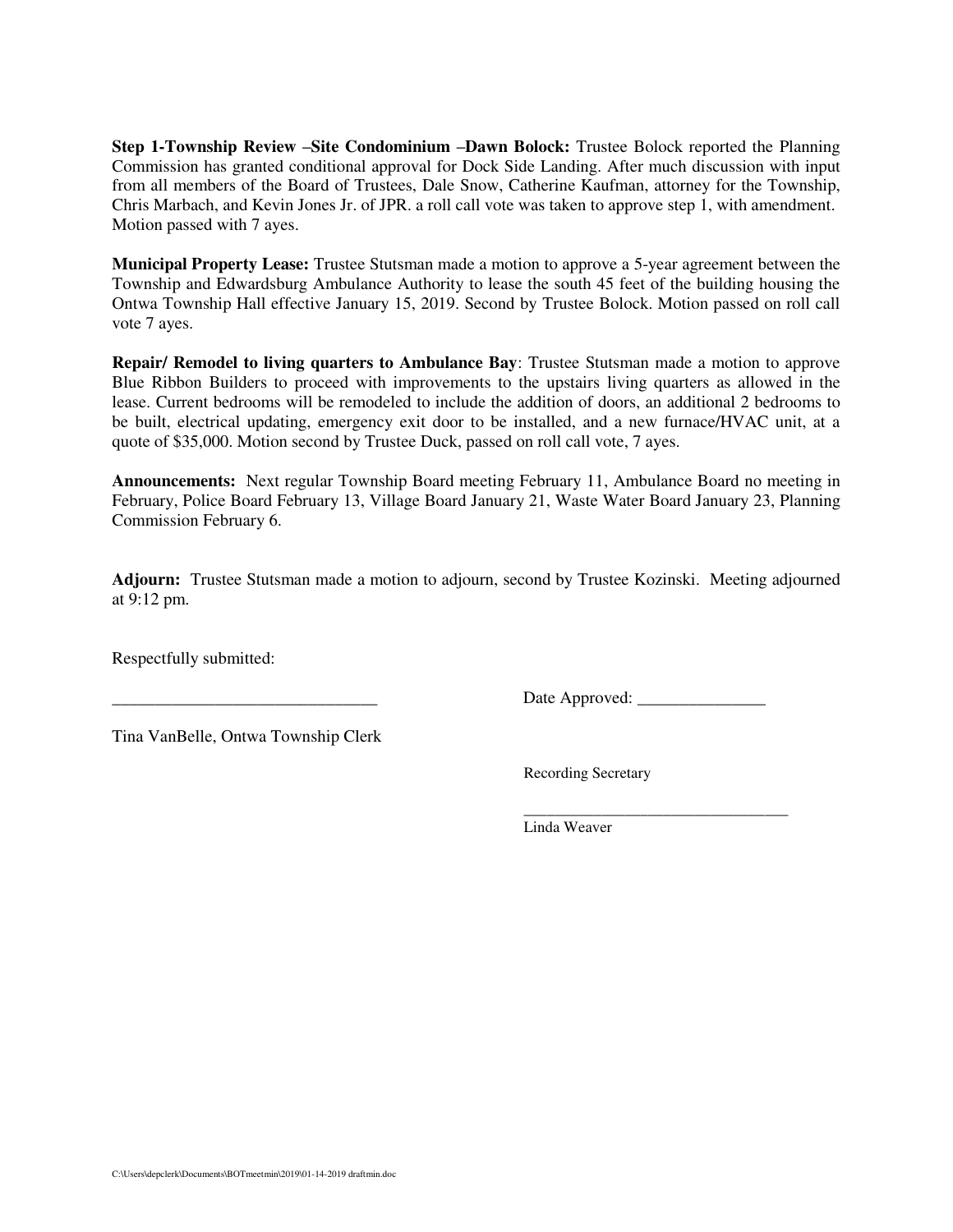**Step 1-Township Review** –**Site Condominium** –**Dawn Bolock:** Trustee Bolock reported the Planning Commission has granted conditional approval for Dock Side Landing. After much discussion with input from all members of the Board of Trustees, Dale Snow, Catherine Kaufman, attorney for the Township, Chris Marbach, and Kevin Jones Jr. of JPR. a roll call vote was taken to approve step 1, with amendment. Motion passed with 7 ayes.

**Municipal Property Lease:** Trustee Stutsman made a motion to approve a 5-year agreement between the Township and Edwardsburg Ambulance Authority to lease the south 45 feet of the building housing the Ontwa Township Hall effective January 15, 2019. Second by Trustee Bolock. Motion passed on roll call vote 7 ayes.

**Repair/ Remodel to living quarters to Ambulance Bay**: Trustee Stutsman made a motion to approve Blue Ribbon Builders to proceed with improvements to the upstairs living quarters as allowed in the lease. Current bedrooms will be remodeled to include the addition of doors, an additional 2 bedrooms to be built, electrical updating, emergency exit door to be installed, and a new furnace/HVAC unit, at a quote of \$35,000. Motion second by Trustee Duck, passed on roll call vote, 7 ayes.

**Announcements:** Next regular Township Board meeting February 11, Ambulance Board no meeting in February, Police Board February 13, Village Board January 21, Waste Water Board January 23, Planning Commission February 6.

**Adjourn:** Trustee Stutsman made a motion to adjourn, second by Trustee Kozinski. Meeting adjourned at 9:12 pm.

Respectfully submitted:

\_\_\_\_\_\_\_\_\_\_\_\_\_\_\_\_\_\_\_\_\_\_\_\_\_\_\_\_\_\_\_ Date Approved: \_\_\_\_\_\_\_\_\_\_\_\_\_\_\_

Tina VanBelle, Ontwa Township Clerk

Recording Secretary

 \_\_\_\_\_\_\_\_\_\_\_\_\_\_\_\_\_\_\_\_\_\_\_\_\_\_\_\_\_\_\_\_\_\_ Linda Weaver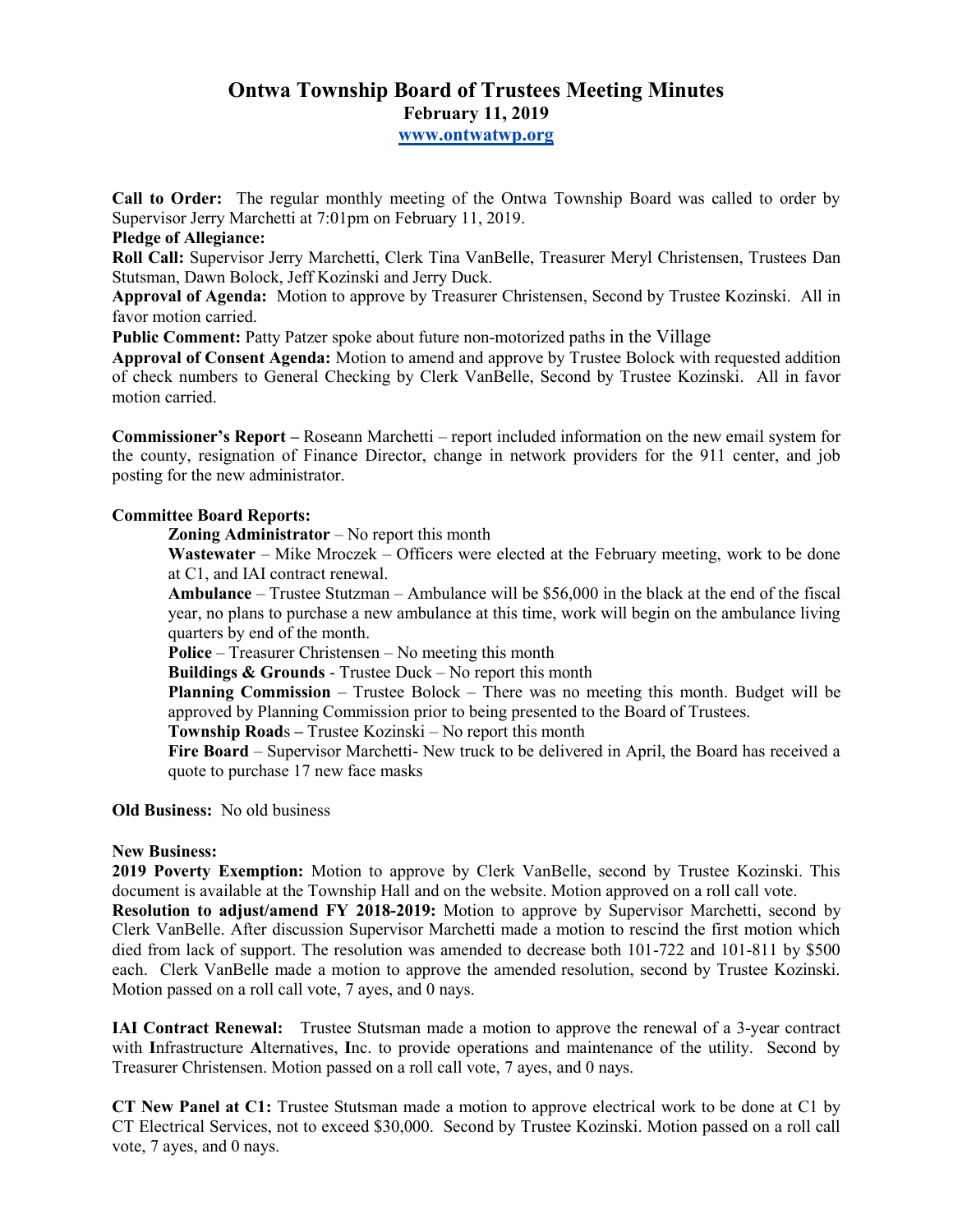# **Ontwa Township Board of Trustees Meeting Minutes February 11, 2019 www.ontwatwp.org**

**Call to Order:** The regular monthly meeting of the Ontwa Township Board was called to order by Supervisor Jerry Marchetti at 7:01pm on February 11, 2019.

#### **Pledge of Allegiance:**

**Roll Call:** Supervisor Jerry Marchetti, Clerk Tina VanBelle, Treasurer Meryl Christensen, Trustees Dan Stutsman, Dawn Bolock, Jeff Kozinski and Jerry Duck.

**Approval of Agenda:** Motion to approve by Treasurer Christensen, Second by Trustee Kozinski. All in favor motion carried.

**Public Comment:** Patty Patzer spoke about future non-motorized paths in the Village

**Approval of Consent Agenda:** Motion to amend and approve by Trustee Bolock with requested addition of check numbers to General Checking by Clerk VanBelle, Second by Trustee Kozinski. All in favor motion carried.

**Commissioner's Report –** Roseann Marchetti – report included information on the new email system for the county, resignation of Finance Director, change in network providers for the 911 center, and job posting for the new administrator.

# **Committee Board Reports:**

**Zoning Administrator** – No report this month

**Wastewater** – Mike Mroczek – Officers were elected at the February meeting, work to be done at C1, and IAI contract renewal.

**Ambulance** – Trustee Stutzman – Ambulance will be \$56,000 in the black at the end of the fiscal year, no plans to purchase a new ambulance at this time, work will begin on the ambulance living quarters by end of the month.

**Police** – Treasurer Christensen – No meeting this month

**Buildings & Grounds** - Trustee Duck – No report this month

**Planning Commission** – Trustee Bolock – There was no meeting this month. Budget will be approved by Planning Commission prior to being presented to the Board of Trustees.

**Township Road**s **–** Trustee Kozinski – No report this month

**Fire Board** – Supervisor Marchetti- New truck to be delivered in April, the Board has received a quote to purchase 17 new face masks

**Old Business:** No old business

# **New Business:**

**2019 Poverty Exemption:** Motion to approve by Clerk VanBelle, second by Trustee Kozinski. This document is available at the Township Hall and on the website. Motion approved on a roll call vote.

**Resolution to adjust/amend FY 2018-2019:** Motion to approve by Supervisor Marchetti, second by Clerk VanBelle. After discussion Supervisor Marchetti made a motion to rescind the first motion which died from lack of support. The resolution was amended to decrease both 101-722 and 101-811 by \$500 each. Clerk VanBelle made a motion to approve the amended resolution, second by Trustee Kozinski. Motion passed on a roll call vote, 7 ayes, and 0 nays.

**IAI Contract Renewal:** Trustee Stutsman made a motion to approve the renewal of a 3-year contract with **I**nfrastructure **A**lternatives, **I**nc. to provide operations and maintenance of the utility. Second by Treasurer Christensen. Motion passed on a roll call vote, 7 ayes, and 0 nays.

**CT New Panel at C1:** Trustee Stutsman made a motion to approve electrical work to be done at C1 by CT Electrical Services, not to exceed \$30,000. Second by Trustee Kozinski. Motion passed on a roll call vote, 7 ayes, and 0 nays.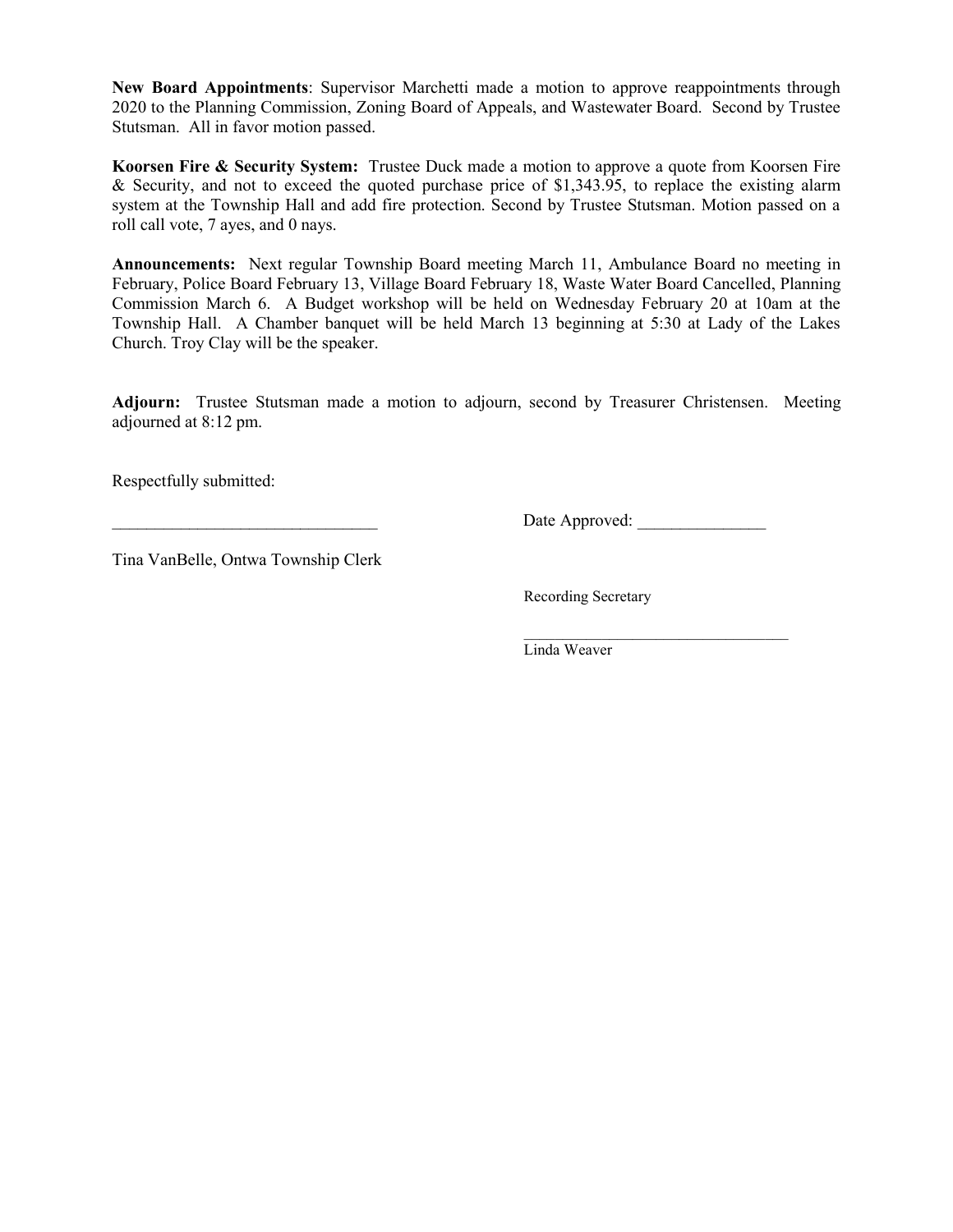**New Board Appointments**: Supervisor Marchetti made a motion to approve reappointments through 2020 to the Planning Commission, Zoning Board of Appeals, and Wastewater Board. Second by Trustee Stutsman. All in favor motion passed.

**Koorsen Fire & Security System:** Trustee Duck made a motion to approve a quote from Koorsen Fire & Security, and not to exceed the quoted purchase price of \$1,343.95, to replace the existing alarm system at the Township Hall and add fire protection. Second by Trustee Stutsman. Motion passed on a roll call vote, 7 ayes, and 0 nays.

**Announcements:** Next regular Township Board meeting March 11, Ambulance Board no meeting in February, Police Board February 13, Village Board February 18, Waste Water Board Cancelled, Planning Commission March 6. A Budget workshop will be held on Wednesday February 20 at 10am at the Township Hall. A Chamber banquet will be held March 13 beginning at 5:30 at Lady of the Lakes Church. Troy Clay will be the speaker.

**Adjourn:** Trustee Stutsman made a motion to adjourn, second by Treasurer Christensen. Meeting adjourned at 8:12 pm.

Respectfully submitted:

\_\_\_\_\_\_\_\_\_\_\_\_\_\_\_\_\_\_\_\_\_\_\_\_\_\_\_\_\_\_\_ Date Approved: \_\_\_\_\_\_\_\_\_\_\_\_\_\_\_

Tina VanBelle, Ontwa Township Clerk

Recording Secretary

 $\overline{\phantom{a}}$  ,  $\overline{\phantom{a}}$  ,  $\overline{\phantom{a}}$  ,  $\overline{\phantom{a}}$  ,  $\overline{\phantom{a}}$  ,  $\overline{\phantom{a}}$  ,  $\overline{\phantom{a}}$  ,  $\overline{\phantom{a}}$  ,  $\overline{\phantom{a}}$  ,  $\overline{\phantom{a}}$  ,  $\overline{\phantom{a}}$  ,  $\overline{\phantom{a}}$  ,  $\overline{\phantom{a}}$  ,  $\overline{\phantom{a}}$  ,  $\overline{\phantom{a}}$  ,  $\overline{\phantom{a}}$ Linda Weaver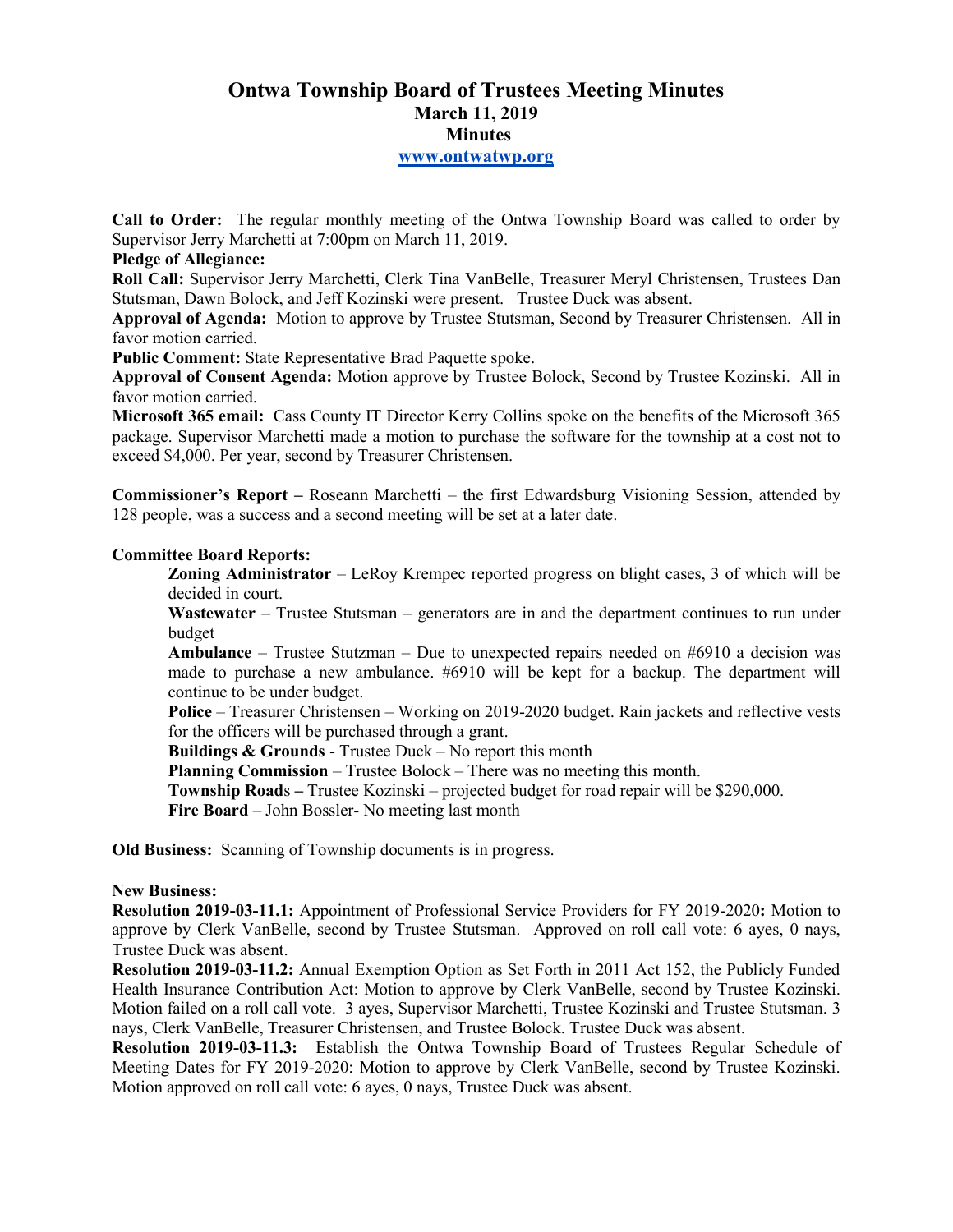# **Ontwa Township Board of Trustees Meeting Minutes March 11, 2019 Minutes www.ontwatwp.org**

**Call to Order:** The regular monthly meeting of the Ontwa Township Board was called to order by Supervisor Jerry Marchetti at 7:00pm on March 11, 2019.

#### **Pledge of Allegiance:**

**Roll Call:** Supervisor Jerry Marchetti, Clerk Tina VanBelle, Treasurer Meryl Christensen, Trustees Dan Stutsman, Dawn Bolock, and Jeff Kozinski were present. Trustee Duck was absent.

**Approval of Agenda:** Motion to approve by Trustee Stutsman, Second by Treasurer Christensen. All in favor motion carried.

**Public Comment:** State Representative Brad Paquette spoke.

**Approval of Consent Agenda:** Motion approve by Trustee Bolock, Second by Trustee Kozinski. All in favor motion carried.

**Microsoft 365 email:** Cass County IT Director Kerry Collins spoke on the benefits of the Microsoft 365 package. Supervisor Marchetti made a motion to purchase the software for the township at a cost not to exceed \$4,000. Per year, second by Treasurer Christensen.

**Commissioner's Report –** Roseann Marchetti – the first Edwardsburg Visioning Session, attended by 128 people, was a success and a second meeting will be set at a later date.

#### **Committee Board Reports:**

**Zoning Administrator** – LeRoy Krempec reported progress on blight cases, 3 of which will be decided in court.

**Wastewater** – Trustee Stutsman – generators are in and the department continues to run under budget

**Ambulance** – Trustee Stutzman – Due to unexpected repairs needed on #6910 a decision was made to purchase a new ambulance. #6910 will be kept for a backup. The department will continue to be under budget.

**Police** – Treasurer Christensen – Working on 2019-2020 budget. Rain jackets and reflective vests for the officers will be purchased through a grant.

**Buildings & Grounds** - Trustee Duck – No report this month

**Planning Commission** – Trustee Bolock – There was no meeting this month.

**Township Road**s **–** Trustee Kozinski – projected budget for road repair will be \$290,000.

**Fire Board** – John Bossler- No meeting last month

**Old Business:** Scanning of Township documents is in progress.

#### **New Business:**

**Resolution 2019-03-11.1:** Appointment of Professional Service Providers for FY 2019-2020**:** Motion to approve by Clerk VanBelle, second by Trustee Stutsman. Approved on roll call vote: 6 ayes, 0 nays, Trustee Duck was absent.

**Resolution 2019-03-11.2:** Annual Exemption Option as Set Forth in 2011 Act 152, the Publicly Funded Health Insurance Contribution Act: Motion to approve by Clerk VanBelle, second by Trustee Kozinski. Motion failed on a roll call vote. 3 ayes, Supervisor Marchetti, Trustee Kozinski and Trustee Stutsman. 3 nays, Clerk VanBelle, Treasurer Christensen, and Trustee Bolock. Trustee Duck was absent.

**Resolution 2019-03-11.3:** Establish the Ontwa Township Board of Trustees Regular Schedule of Meeting Dates for FY 2019-2020: Motion to approve by Clerk VanBelle, second by Trustee Kozinski. Motion approved on roll call vote: 6 ayes, 0 nays, Trustee Duck was absent.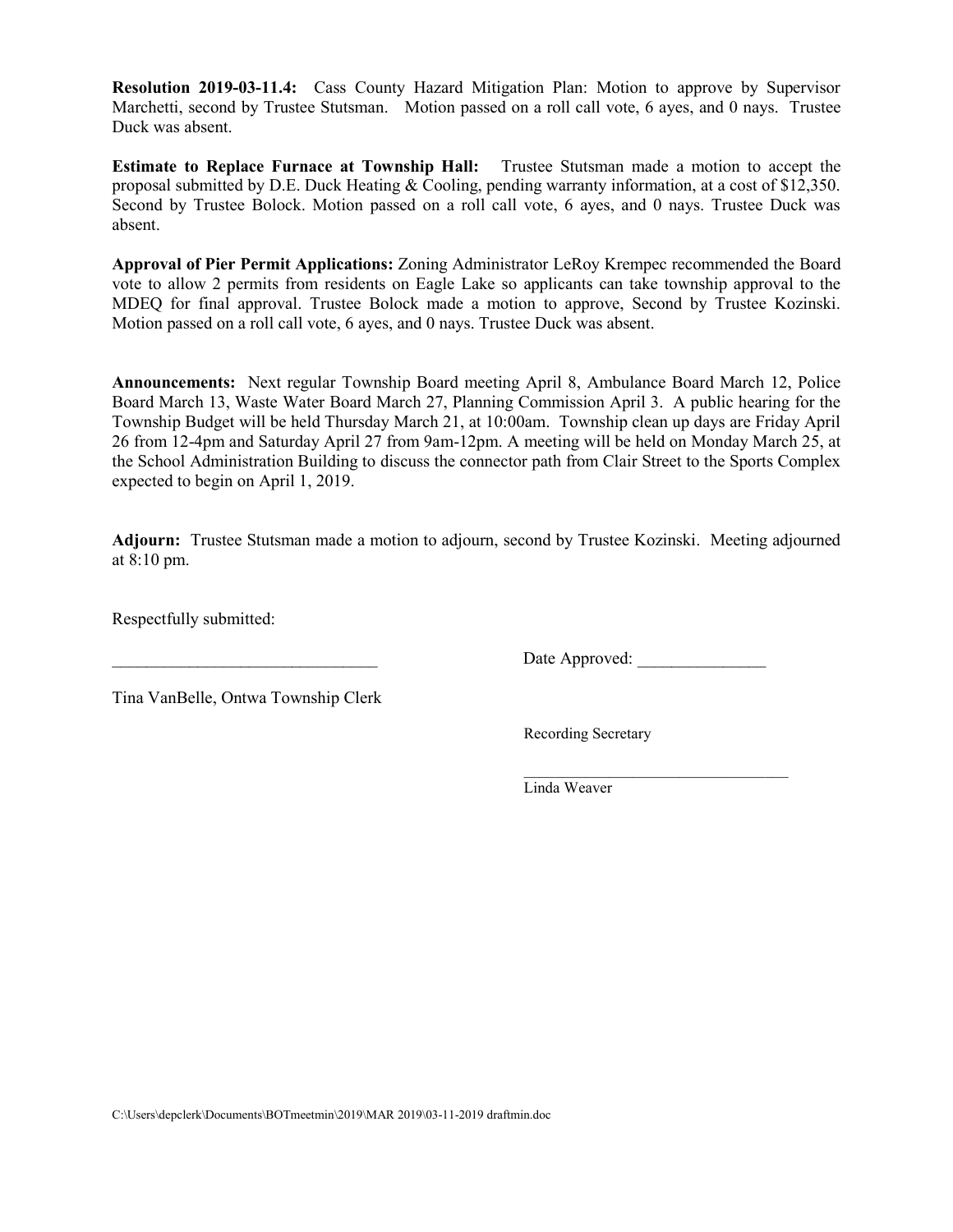**Resolution 2019-03-11.4:** Cass County Hazard Mitigation Plan: Motion to approve by Supervisor Marchetti, second by Trustee Stutsman. Motion passed on a roll call vote, 6 ayes, and 0 nays. Trustee Duck was absent.

**Estimate to Replace Furnace at Township Hall:** Trustee Stutsman made a motion to accept the proposal submitted by D.E. Duck Heating & Cooling, pending warranty information, at a cost of \$12,350. Second by Trustee Bolock. Motion passed on a roll call vote, 6 ayes, and 0 nays. Trustee Duck was absent.

**Approval of Pier Permit Applications:** Zoning Administrator LeRoy Krempec recommended the Board vote to allow 2 permits from residents on Eagle Lake so applicants can take township approval to the MDEQ for final approval. Trustee Bolock made a motion to approve, Second by Trustee Kozinski. Motion passed on a roll call vote, 6 ayes, and 0 nays. Trustee Duck was absent.

**Announcements:** Next regular Township Board meeting April 8, Ambulance Board March 12, Police Board March 13, Waste Water Board March 27, Planning Commission April 3. A public hearing for the Township Budget will be held Thursday March 21, at 10:00am. Township clean up days are Friday April 26 from 12-4pm and Saturday April 27 from 9am-12pm. A meeting will be held on Monday March 25, at the School Administration Building to discuss the connector path from Clair Street to the Sports Complex expected to begin on April 1, 2019.

**Adjourn:** Trustee Stutsman made a motion to adjourn, second by Trustee Kozinski. Meeting adjourned at 8:10 pm.

Respectfully submitted:

Date Approved:

Tina VanBelle, Ontwa Township Clerk

Recording Secretary

 $\overline{\phantom{a}}$  ,  $\overline{\phantom{a}}$  ,  $\overline{\phantom{a}}$  ,  $\overline{\phantom{a}}$  ,  $\overline{\phantom{a}}$  ,  $\overline{\phantom{a}}$  ,  $\overline{\phantom{a}}$  ,  $\overline{\phantom{a}}$  ,  $\overline{\phantom{a}}$  ,  $\overline{\phantom{a}}$  ,  $\overline{\phantom{a}}$  ,  $\overline{\phantom{a}}$  ,  $\overline{\phantom{a}}$  ,  $\overline{\phantom{a}}$  ,  $\overline{\phantom{a}}$  ,  $\overline{\phantom{a}}$ Linda Weaver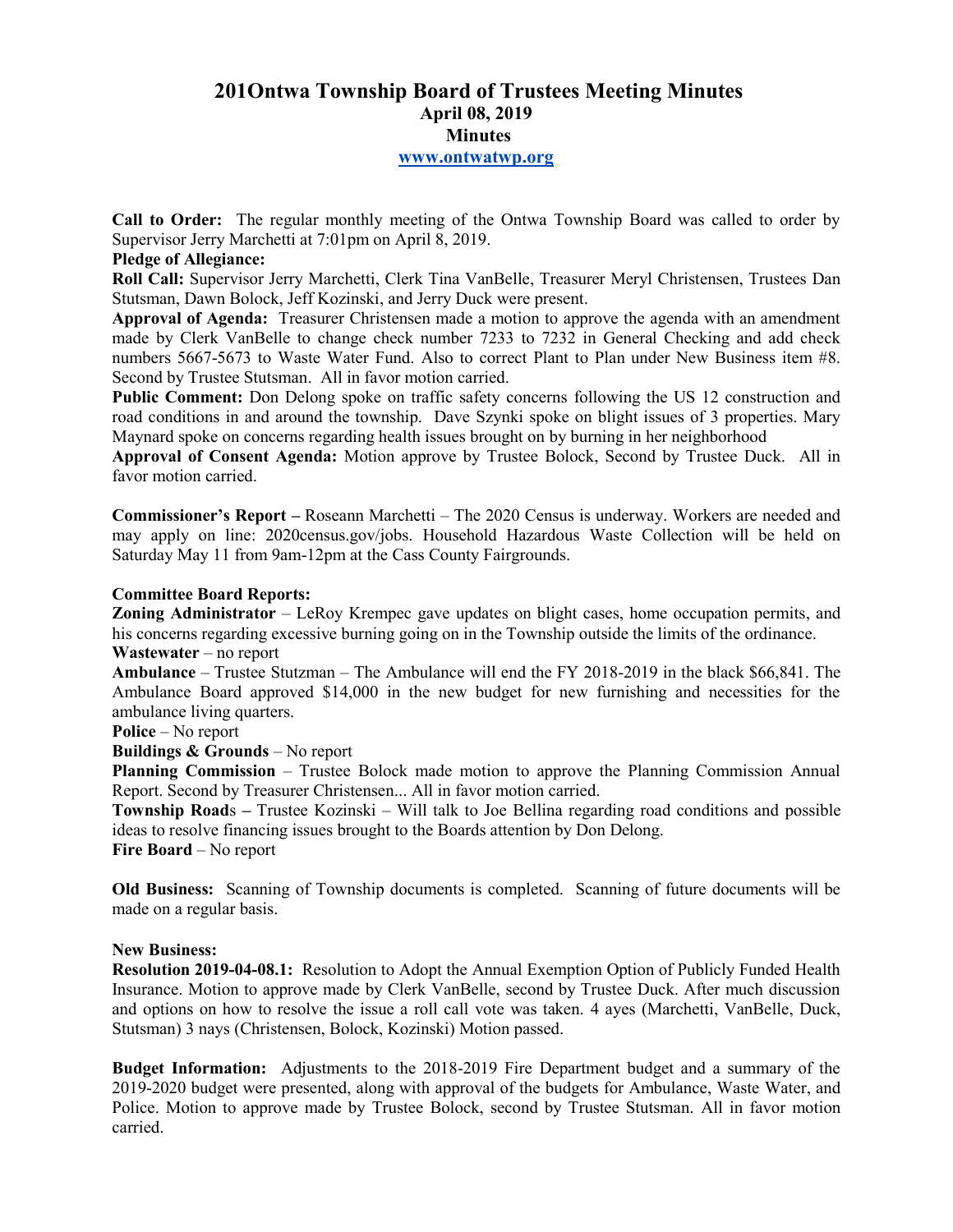# **201Ontwa Township Board of Trustees Meeting Minutes April 08, 2019 Minutes www.ontwatwp.org**

**Call to Order:** The regular monthly meeting of the Ontwa Township Board was called to order by Supervisor Jerry Marchetti at 7:01pm on April 8, 2019.

# **Pledge of Allegiance:**

**Roll Call:** Supervisor Jerry Marchetti, Clerk Tina VanBelle, Treasurer Meryl Christensen, Trustees Dan Stutsman, Dawn Bolock, Jeff Kozinski, and Jerry Duck were present.

**Approval of Agenda:** Treasurer Christensen made a motion to approve the agenda with an amendment made by Clerk VanBelle to change check number 7233 to 7232 in General Checking and add check numbers 5667-5673 to Waste Water Fund. Also to correct Plant to Plan under New Business item #8. Second by Trustee Stutsman. All in favor motion carried.

**Public Comment:** Don Delong spoke on traffic safety concerns following the US 12 construction and road conditions in and around the township. Dave Szynki spoke on blight issues of 3 properties. Mary Maynard spoke on concerns regarding health issues brought on by burning in her neighborhood

**Approval of Consent Agenda:** Motion approve by Trustee Bolock, Second by Trustee Duck. All in favor motion carried.

**Commissioner's Report –** Roseann Marchetti – The 2020 Census is underway. Workers are needed and may apply on line: 2020census.gov/jobs. Household Hazardous Waste Collection will be held on Saturday May 11 from 9am-12pm at the Cass County Fairgrounds.

#### **Committee Board Reports:**

**Zoning Administrator** – LeRoy Krempec gave updates on blight cases, home occupation permits, and his concerns regarding excessive burning going on in the Township outside the limits of the ordinance.

# **Wastewater** – no report

**Ambulance** – Trustee Stutzman – The Ambulance will end the FY 2018-2019 in the black \$66,841. The Ambulance Board approved \$14,000 in the new budget for new furnishing and necessities for the ambulance living quarters.

**Police** – No report

**Buildings & Grounds** – No report

**Planning Commission** – Trustee Bolock made motion to approve the Planning Commission Annual Report. Second by Treasurer Christensen... All in favor motion carried.

**Township Road**s **–** Trustee Kozinski – Will talk to Joe Bellina regarding road conditions and possible ideas to resolve financing issues brought to the Boards attention by Don Delong. **Fire Board** – No report

**Old Business:** Scanning of Township documents is completed. Scanning of future documents will be made on a regular basis.

# **New Business:**

**Resolution 2019-04-08.1:** Resolution to Adopt the Annual Exemption Option of Publicly Funded Health Insurance. Motion to approve made by Clerk VanBelle, second by Trustee Duck. After much discussion and options on how to resolve the issue a roll call vote was taken. 4 ayes (Marchetti, VanBelle, Duck, Stutsman) 3 nays (Christensen, Bolock, Kozinski) Motion passed.

**Budget Information:** Adjustments to the 2018-2019 Fire Department budget and a summary of the 2019-2020 budget were presented, along with approval of the budgets for Ambulance, Waste Water, and Police. Motion to approve made by Trustee Bolock, second by Trustee Stutsman. All in favor motion carried.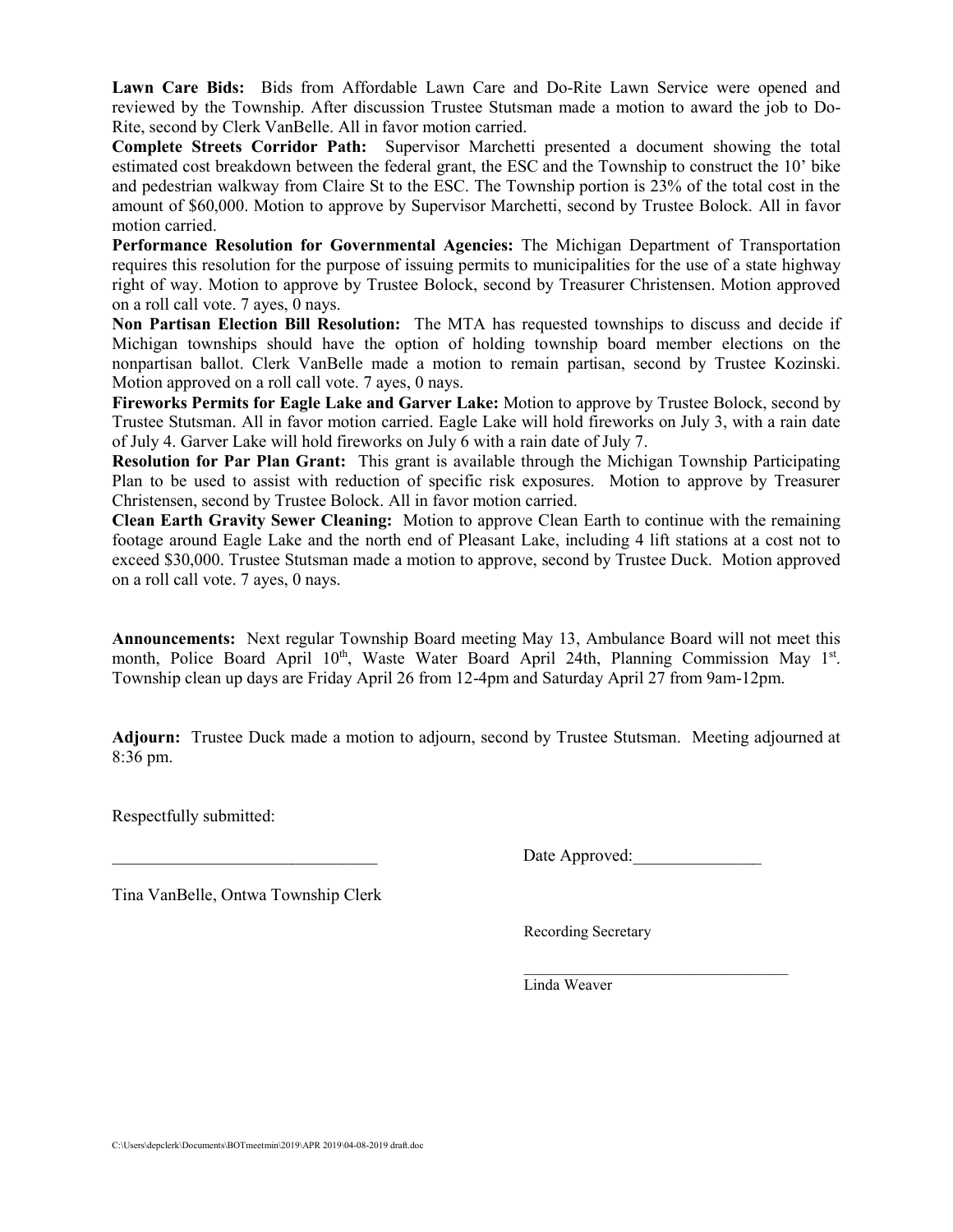**Lawn Care Bids:** Bids from Affordable Lawn Care and Do-Rite Lawn Service were opened and reviewed by the Township. After discussion Trustee Stutsman made a motion to award the job to Do-Rite, second by Clerk VanBelle. All in favor motion carried.

**Complete Streets Corridor Path:** Supervisor Marchetti presented a document showing the total estimated cost breakdown between the federal grant, the ESC and the Township to construct the 10' bike and pedestrian walkway from Claire St to the ESC. The Township portion is 23% of the total cost in the amount of \$60,000. Motion to approve by Supervisor Marchetti, second by Trustee Bolock. All in favor motion carried.

**Performance Resolution for Governmental Agencies:** The Michigan Department of Transportation requires this resolution for the purpose of issuing permits to municipalities for the use of a state highway right of way. Motion to approve by Trustee Bolock, second by Treasurer Christensen. Motion approved on a roll call vote. 7 ayes, 0 nays.

**Non Partisan Election Bill Resolution:** The MTA has requested townships to discuss and decide if Michigan townships should have the option of holding township board member elections on the nonpartisan ballot. Clerk VanBelle made a motion to remain partisan, second by Trustee Kozinski. Motion approved on a roll call vote. 7 ayes, 0 nays.

**Fireworks Permits for Eagle Lake and Garver Lake:** Motion to approve by Trustee Bolock, second by Trustee Stutsman. All in favor motion carried. Eagle Lake will hold fireworks on July 3, with a rain date of July 4. Garver Lake will hold fireworks on July 6 with a rain date of July 7.

**Resolution for Par Plan Grant:** This grant is available through the Michigan Township Participating Plan to be used to assist with reduction of specific risk exposures. Motion to approve by Treasurer Christensen, second by Trustee Bolock. All in favor motion carried.

**Clean Earth Gravity Sewer Cleaning:** Motion to approve Clean Earth to continue with the remaining footage around Eagle Lake and the north end of Pleasant Lake, including 4 lift stations at a cost not to exceed \$30,000. Trustee Stutsman made a motion to approve, second by Trustee Duck. Motion approved on a roll call vote. 7 ayes, 0 nays.

**Announcements:** Next regular Township Board meeting May 13, Ambulance Board will not meet this month, Police Board April 10<sup>th</sup>, Waste Water Board April 24th, Planning Commission May 1<sup>st</sup>. Township clean up days are Friday April 26 from 12-4pm and Saturday April 27 from 9am-12pm.

**Adjourn:** Trustee Duck made a motion to adjourn, second by Trustee Stutsman. Meeting adjourned at 8:36 pm.

Respectfully submitted:

Date Approved:

 $\overline{\phantom{a}}$  ,  $\overline{\phantom{a}}$  ,  $\overline{\phantom{a}}$  ,  $\overline{\phantom{a}}$  ,  $\overline{\phantom{a}}$  ,  $\overline{\phantom{a}}$  ,  $\overline{\phantom{a}}$  ,  $\overline{\phantom{a}}$  ,  $\overline{\phantom{a}}$  ,  $\overline{\phantom{a}}$  ,  $\overline{\phantom{a}}$  ,  $\overline{\phantom{a}}$  ,  $\overline{\phantom{a}}$  ,  $\overline{\phantom{a}}$  ,  $\overline{\phantom{a}}$  ,  $\overline{\phantom{a}}$ 

Tina VanBelle, Ontwa Township Clerk

Recording Secretary

Linda Weaver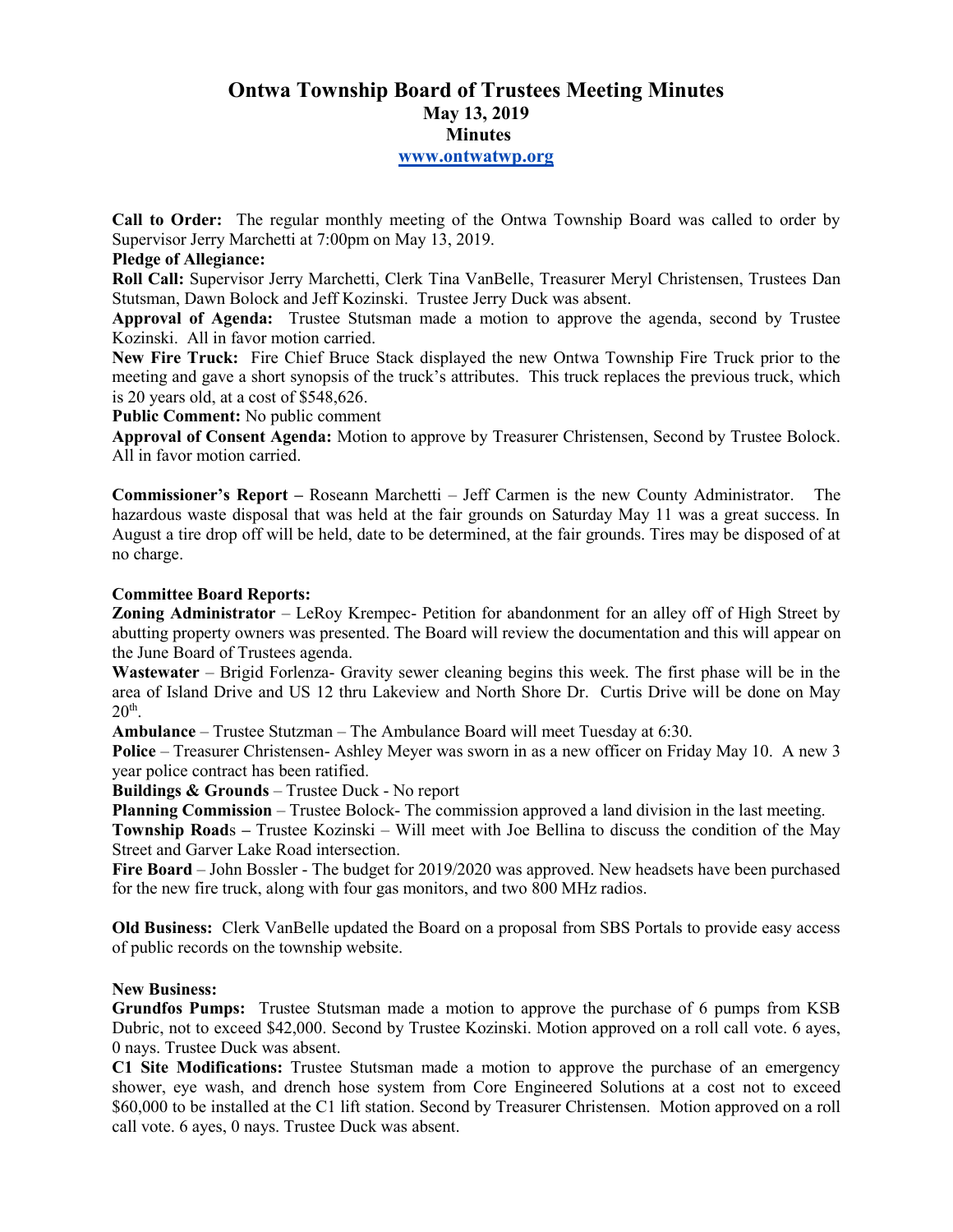# **Ontwa Township Board of Trustees Meeting Minutes May 13, 2019 Minutes www.ontwatwp.org**

**Call to Order:** The regular monthly meeting of the Ontwa Township Board was called to order by Supervisor Jerry Marchetti at 7:00pm on May 13, 2019.

# **Pledge of Allegiance:**

**Roll Call:** Supervisor Jerry Marchetti, Clerk Tina VanBelle, Treasurer Meryl Christensen, Trustees Dan Stutsman, Dawn Bolock and Jeff Kozinski. Trustee Jerry Duck was absent.

**Approval of Agenda:** Trustee Stutsman made a motion to approve the agenda, second by Trustee Kozinski. All in favor motion carried.

**New Fire Truck:** Fire Chief Bruce Stack displayed the new Ontwa Township Fire Truck prior to the meeting and gave a short synopsis of the truck's attributes. This truck replaces the previous truck, which is 20 years old, at a cost of \$548,626.

**Public Comment:** No public comment

**Approval of Consent Agenda:** Motion to approve by Treasurer Christensen, Second by Trustee Bolock. All in favor motion carried.

**Commissioner's Report –** Roseann Marchetti – Jeff Carmen is the new County Administrator. The hazardous waste disposal that was held at the fair grounds on Saturday May 11 was a great success. In August a tire drop off will be held, date to be determined, at the fair grounds. Tires may be disposed of at no charge.

#### **Committee Board Reports:**

**Zoning Administrator** – LeRoy Krempec- Petition for abandonment for an alley off of High Street by abutting property owners was presented. The Board will review the documentation and this will appear on the June Board of Trustees agenda.

**Wastewater** – Brigid Forlenza- Gravity sewer cleaning begins this week. The first phase will be in the area of Island Drive and US 12 thru Lakeview and North Shore Dr. Curtis Drive will be done on May  $20<sup>th</sup>$ .

**Ambulance** – Trustee Stutzman – The Ambulance Board will meet Tuesday at 6:30.

**Police** – Treasurer Christensen- Ashley Meyer was sworn in as a new officer on Friday May 10. A new 3 year police contract has been ratified.

**Buildings & Grounds** – Trustee Duck - No report

**Planning Commission** – Trustee Bolock- The commission approved a land division in the last meeting.

**Township Road**s **–** Trustee Kozinski – Will meet with Joe Bellina to discuss the condition of the May Street and Garver Lake Road intersection.

**Fire Board** – John Bossler - The budget for 2019/2020 was approved. New headsets have been purchased for the new fire truck, along with four gas monitors, and two 800 MHz radios.

**Old Business:** Clerk VanBelle updated the Board on a proposal from SBS Portals to provide easy access of public records on the township website.

#### **New Business:**

**Grundfos Pumps:** Trustee Stutsman made a motion to approve the purchase of 6 pumps from KSB Dubric, not to exceed \$42,000. Second by Trustee Kozinski. Motion approved on a roll call vote. 6 ayes, 0 nays. Trustee Duck was absent.

**C1 Site Modifications:** Trustee Stutsman made a motion to approve the purchase of an emergency shower, eye wash, and drench hose system from Core Engineered Solutions at a cost not to exceed \$60,000 to be installed at the C1 lift station. Second by Treasurer Christensen. Motion approved on a roll call vote. 6 ayes, 0 nays. Trustee Duck was absent.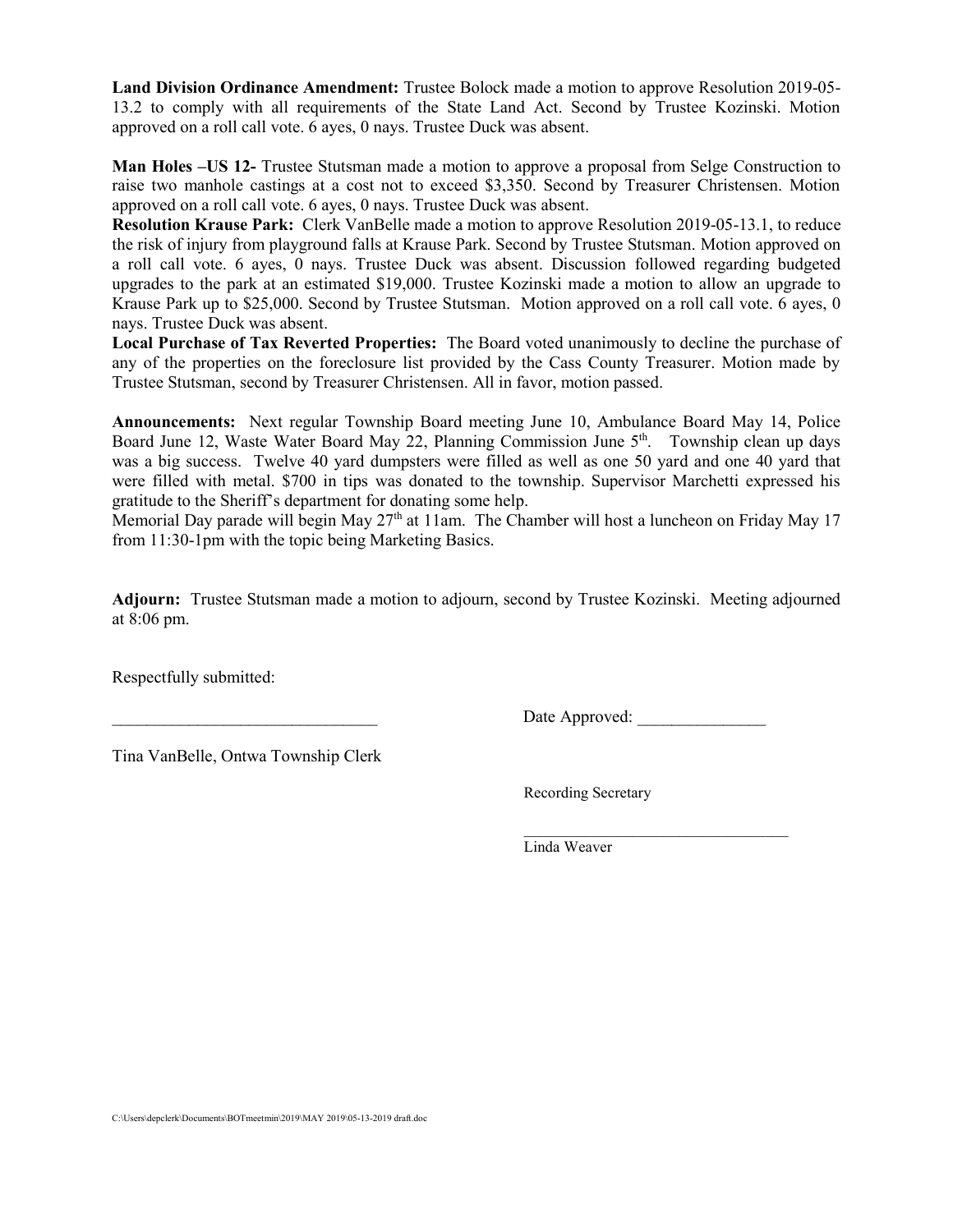**Land Division Ordinance Amendment:** Trustee Bolock made a motion to approve Resolution 2019-05- 13.2 to comply with all requirements of the State Land Act. Second by Trustee Kozinski. Motion approved on a roll call vote. 6 ayes, 0 nays. Trustee Duck was absent.

**Man Holes –US 12-** Trustee Stutsman made a motion to approve a proposal from Selge Construction to raise two manhole castings at a cost not to exceed \$3,350. Second by Treasurer Christensen. Motion approved on a roll call vote. 6 ayes, 0 nays. Trustee Duck was absent.

**Resolution Krause Park:** Clerk VanBelle made a motion to approve Resolution 2019-05-13.1, to reduce the risk of injury from playground falls at Krause Park. Second by Trustee Stutsman. Motion approved on a roll call vote. 6 ayes, 0 nays. Trustee Duck was absent. Discussion followed regarding budgeted upgrades to the park at an estimated \$19,000. Trustee Kozinski made a motion to allow an upgrade to Krause Park up to \$25,000. Second by Trustee Stutsman. Motion approved on a roll call vote. 6 ayes, 0 nays. Trustee Duck was absent.

**Local Purchase of Tax Reverted Properties:** The Board voted unanimously to decline the purchase of any of the properties on the foreclosure list provided by the Cass County Treasurer. Motion made by Trustee Stutsman, second by Treasurer Christensen. All in favor, motion passed.

**Announcements:** Next regular Township Board meeting June 10, Ambulance Board May 14, Police Board June 12, Waste Water Board May 22, Planning Commission June  $5<sup>th</sup>$ . Township clean up days was a big success. Twelve 40 yard dumpsters were filled as well as one 50 yard and one 40 yard that were filled with metal. \$700 in tips was donated to the township. Supervisor Marchetti expressed his gratitude to the Sheriff's department for donating some help.

Memorial Day parade will begin May  $27<sup>th</sup>$  at 11am. The Chamber will host a luncheon on Friday May 17 from 11:30-1pm with the topic being Marketing Basics.

**Adjourn:** Trustee Stutsman made a motion to adjourn, second by Trustee Kozinski. Meeting adjourned at 8:06 pm.

Respectfully submitted:

Date Approved:

Tina VanBelle, Ontwa Township Clerk

Recording Secretary

 $\mathcal{L}=\underbrace{\mathcal{L}=\mathcal{L}=\mathcal{L}=\mathcal{L}=\mathcal{L}=\mathcal{L}=\mathcal{L}=\mathcal{L}=\mathcal{L}=\mathcal{L}=\mathcal{L}=\mathcal{L}=\mathcal{L}=\mathcal{L}=\mathcal{L}=\mathcal{L}=\mathcal{L}=\mathcal{L}=\mathcal{L}=\mathcal{L}=\mathcal{L}=\mathcal{L}=\mathcal{L}=\mathcal{L}=\mathcal{L}=\mathcal{L}=\mathcal{L}=\mathcal{L}=\mathcal{L}=\mathcal{L}=\mathcal{L}=\mathcal{L}=\mathcal{L}=\mathcal{L}=\mathcal{L}=\$ Linda Weaver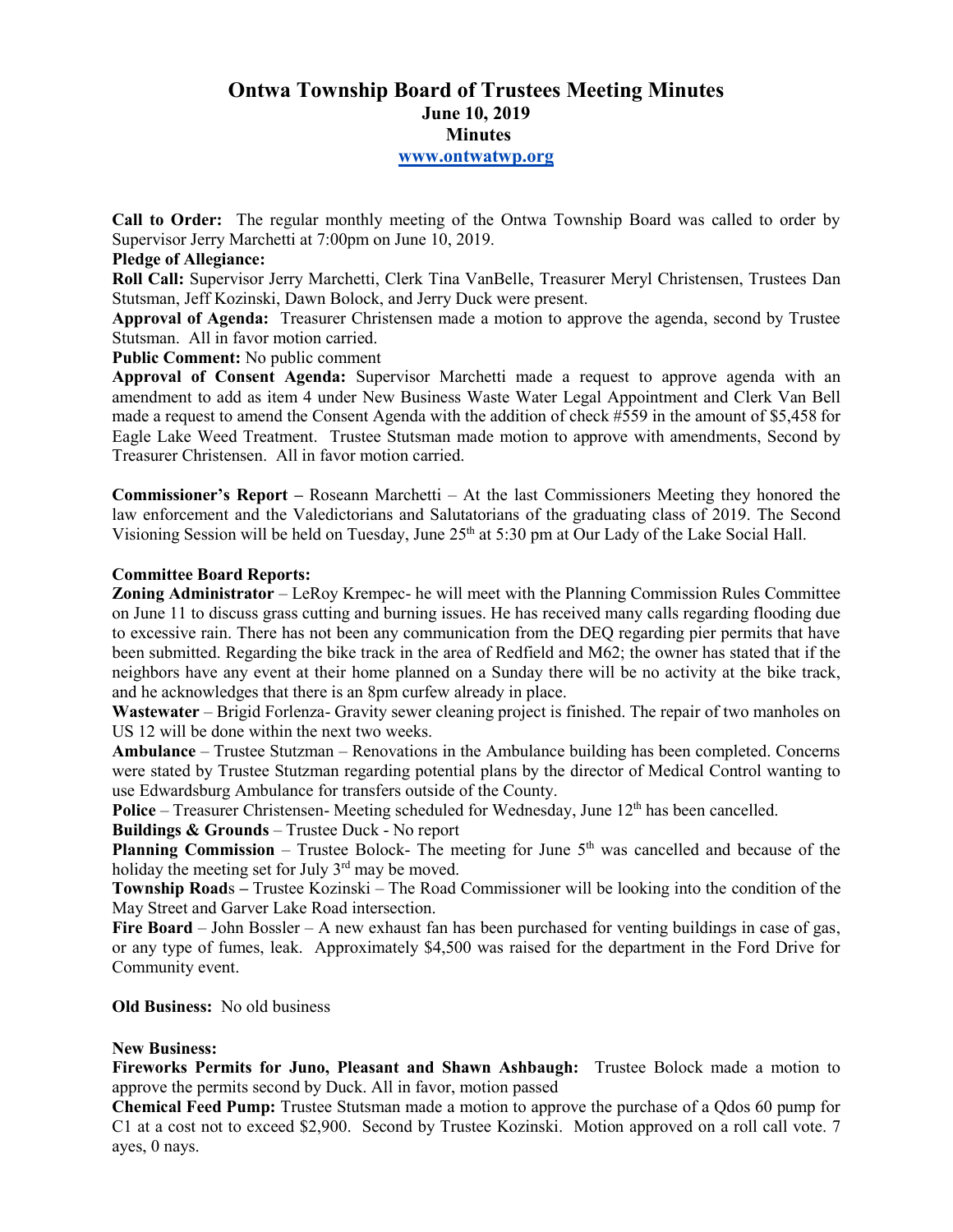# **Ontwa Township Board of Trustees Meeting Minutes June 10, 2019 Minutes www.ontwatwp.org**

**Call to Order:** The regular monthly meeting of the Ontwa Township Board was called to order by Supervisor Jerry Marchetti at 7:00pm on June 10, 2019.

# **Pledge of Allegiance:**

**Roll Call:** Supervisor Jerry Marchetti, Clerk Tina VanBelle, Treasurer Meryl Christensen, Trustees Dan Stutsman, Jeff Kozinski, Dawn Bolock, and Jerry Duck were present.

**Approval of Agenda:** Treasurer Christensen made a motion to approve the agenda, second by Trustee Stutsman. All in favor motion carried.

#### **Public Comment:** No public comment

**Approval of Consent Agenda:** Supervisor Marchetti made a request to approve agenda with an amendment to add as item 4 under New Business Waste Water Legal Appointment and Clerk Van Bell made a request to amend the Consent Agenda with the addition of check #559 in the amount of \$5,458 for Eagle Lake Weed Treatment. Trustee Stutsman made motion to approve with amendments, Second by Treasurer Christensen. All in favor motion carried.

**Commissioner's Report –** Roseann Marchetti – At the last Commissioners Meeting they honored the law enforcement and the Valedictorians and Salutatorians of the graduating class of 2019. The Second Visioning Session will be held on Tuesday, June 25<sup>th</sup> at 5:30 pm at Our Lady of the Lake Social Hall.

#### **Committee Board Reports:**

**Zoning Administrator** – LeRoy Krempec- he will meet with the Planning Commission Rules Committee on June 11 to discuss grass cutting and burning issues. He has received many calls regarding flooding due to excessive rain. There has not been any communication from the DEQ regarding pier permits that have been submitted. Regarding the bike track in the area of Redfield and M62; the owner has stated that if the neighbors have any event at their home planned on a Sunday there will be no activity at the bike track, and he acknowledges that there is an 8pm curfew already in place.

**Wastewater** – Brigid Forlenza- Gravity sewer cleaning project is finished. The repair of two manholes on US 12 will be done within the next two weeks.

**Ambulance** – Trustee Stutzman – Renovations in the Ambulance building has been completed. Concerns were stated by Trustee Stutzman regarding potential plans by the director of Medical Control wanting to use Edwardsburg Ambulance for transfers outside of the County.

**Police** – Treasurer Christensen- Meeting scheduled for Wednesday, June 12<sup>th</sup> has been cancelled.

**Buildings & Grounds** – Trustee Duck - No report

**Planning Commission** – Trustee Bolock- The meeting for June 5<sup>th</sup> was cancelled and because of the holiday the meeting set for July  $3<sup>rd</sup>$  may be moved.

**Township Road**s **–** Trustee Kozinski – The Road Commissioner will be looking into the condition of the May Street and Garver Lake Road intersection.

**Fire Board** – John Bossler – A new exhaust fan has been purchased for venting buildings in case of gas, or any type of fumes, leak. Approximately \$4,500 was raised for the department in the Ford Drive for Community event.

#### **Old Business:** No old business

# **New Business:**

**Fireworks Permits for Juno, Pleasant and Shawn Ashbaugh:** Trustee Bolock made a motion to approve the permits second by Duck. All in favor, motion passed

**Chemical Feed Pump:** Trustee Stutsman made a motion to approve the purchase of a Qdos 60 pump for C1 at a cost not to exceed \$2,900. Second by Trustee Kozinski. Motion approved on a roll call vote. 7 ayes, 0 nays.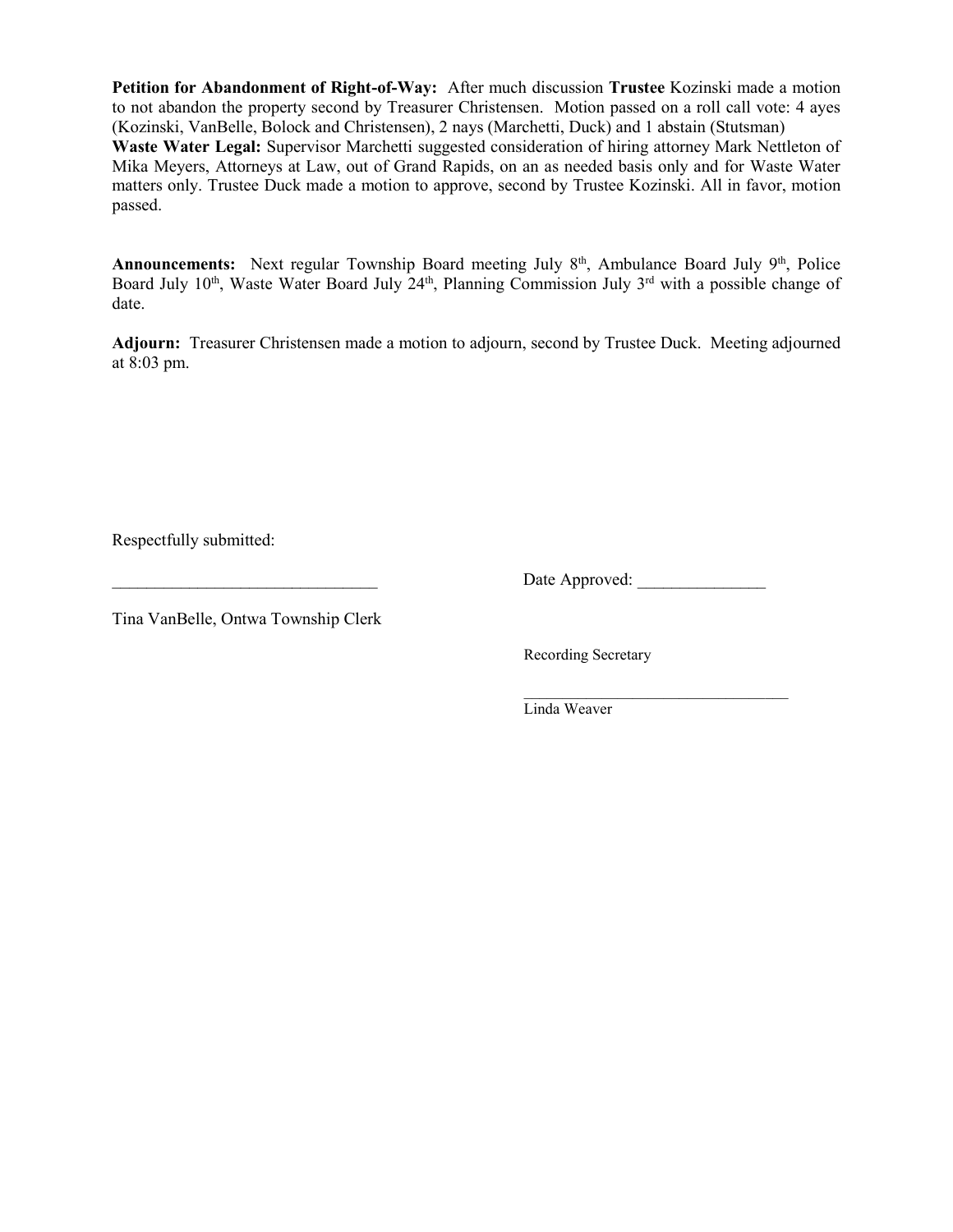**Petition for Abandonment of Right-of-Way:** After much discussion **Trustee** Kozinski made a motion to not abandon the property second by Treasurer Christensen. Motion passed on a roll call vote: 4 ayes (Kozinski, VanBelle, Bolock and Christensen), 2 nays (Marchetti, Duck) and 1 abstain (Stutsman)

**Waste Water Legal:** Supervisor Marchetti suggested consideration of hiring attorney Mark Nettleton of Mika Meyers, Attorneys at Law, out of Grand Rapids, on an as needed basis only and for Waste Water matters only. Trustee Duck made a motion to approve, second by Trustee Kozinski. All in favor, motion passed.

Announcements: Next regular Township Board meeting July 8<sup>th</sup>, Ambulance Board July 9<sup>th</sup>, Police Board July  $10^{th}$ , Waste Water Board July  $24^{th}$ , Planning Commission July  $3^{rd}$  with a possible change of date.

**Adjourn:** Treasurer Christensen made a motion to adjourn, second by Trustee Duck. Meeting adjourned at 8:03 pm.

Respectfully submitted:

Date Approved:

Tina VanBelle, Ontwa Township Clerk

Recording Secretary

 $\overline{\phantom{a}}$  ,  $\overline{\phantom{a}}$  ,  $\overline{\phantom{a}}$  ,  $\overline{\phantom{a}}$  ,  $\overline{\phantom{a}}$  ,  $\overline{\phantom{a}}$  ,  $\overline{\phantom{a}}$  ,  $\overline{\phantom{a}}$  ,  $\overline{\phantom{a}}$  ,  $\overline{\phantom{a}}$  ,  $\overline{\phantom{a}}$  ,  $\overline{\phantom{a}}$  ,  $\overline{\phantom{a}}$  ,  $\overline{\phantom{a}}$  ,  $\overline{\phantom{a}}$  ,  $\overline{\phantom{a}}$ Linda Weaver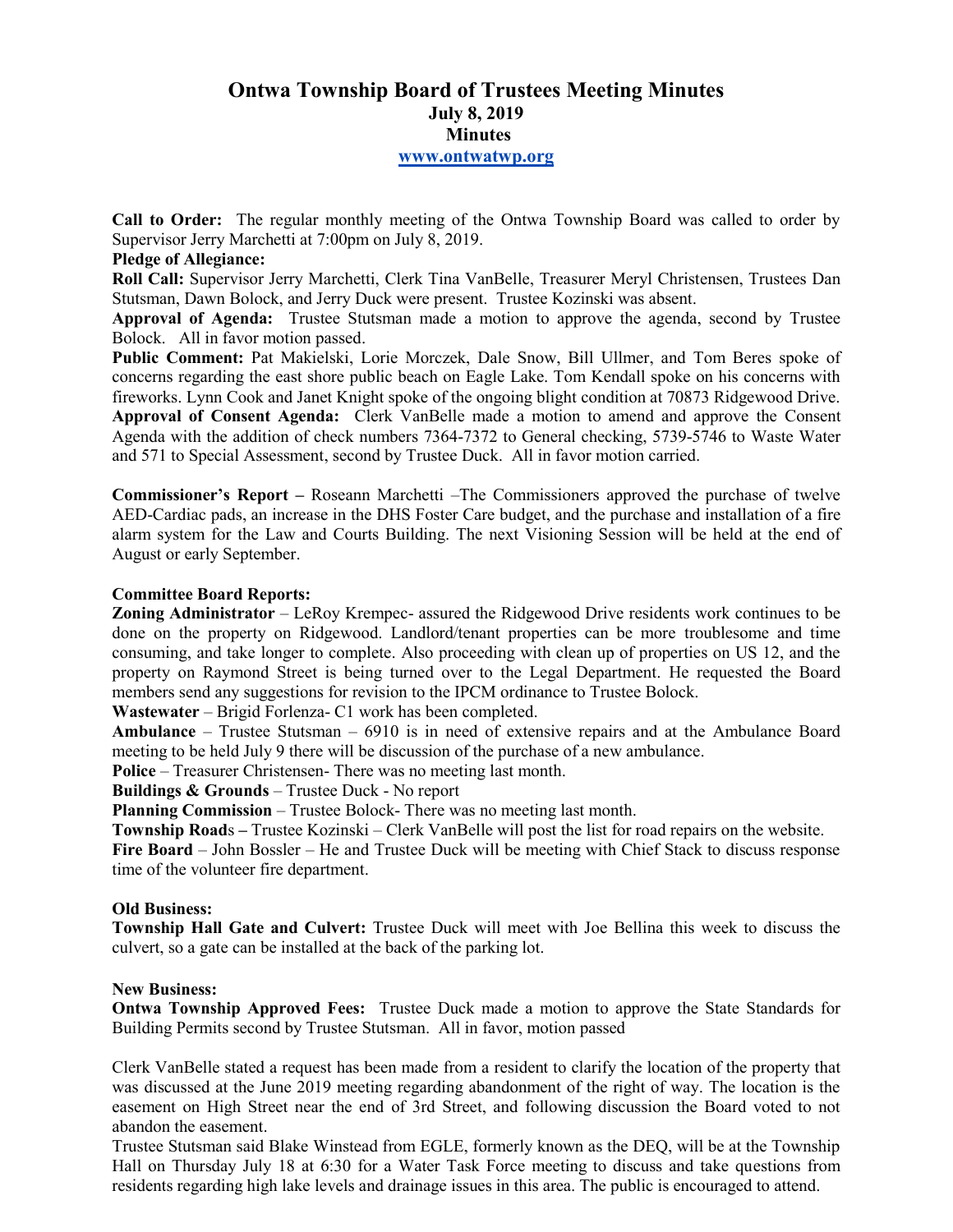# **Ontwa Township Board of Trustees Meeting Minutes July 8, 2019 Minutes www.ontwatwp.org**

**Call to Order:** The regular monthly meeting of the Ontwa Township Board was called to order by Supervisor Jerry Marchetti at 7:00pm on July 8, 2019.

# **Pledge of Allegiance:**

**Roll Call:** Supervisor Jerry Marchetti, Clerk Tina VanBelle, Treasurer Meryl Christensen, Trustees Dan Stutsman, Dawn Bolock, and Jerry Duck were present. Trustee Kozinski was absent.

**Approval of Agenda:** Trustee Stutsman made a motion to approve the agenda, second by Trustee Bolock. All in favor motion passed.

**Public Comment:** Pat Makielski, Lorie Morczek, Dale Snow, Bill Ullmer, and Tom Beres spoke of concerns regarding the east shore public beach on Eagle Lake. Tom Kendall spoke on his concerns with fireworks. Lynn Cook and Janet Knight spoke of the ongoing blight condition at 70873 Ridgewood Drive. **Approval of Consent Agenda:** Clerk VanBelle made a motion to amend and approve the Consent Agenda with the addition of check numbers 7364-7372 to General checking, 5739-5746 to Waste Water and 571 to Special Assessment, second by Trustee Duck. All in favor motion carried.

**Commissioner's Report –** Roseann Marchetti –The Commissioners approved the purchase of twelve AED-Cardiac pads, an increase in the DHS Foster Care budget, and the purchase and installation of a fire alarm system for the Law and Courts Building. The next Visioning Session will be held at the end of August or early September.

#### **Committee Board Reports:**

**Zoning Administrator** – LeRoy Krempec- assured the Ridgewood Drive residents work continues to be done on the property on Ridgewood. Landlord/tenant properties can be more troublesome and time consuming, and take longer to complete. Also proceeding with clean up of properties on US 12, and the property on Raymond Street is being turned over to the Legal Department. He requested the Board members send any suggestions for revision to the IPCM ordinance to Trustee Bolock.

**Wastewater** – Brigid Forlenza- C1 work has been completed.

**Ambulance** – Trustee Stutsman – 6910 is in need of extensive repairs and at the Ambulance Board meeting to be held July 9 there will be discussion of the purchase of a new ambulance.

**Police** – Treasurer Christensen- There was no meeting last month.

**Buildings & Grounds** – Trustee Duck - No report

**Planning Commission** – Trustee Bolock- There was no meeting last month.

**Township Road**s **–** Trustee Kozinski – Clerk VanBelle will post the list for road repairs on the website.

**Fire Board** – John Bossler – He and Trustee Duck will be meeting with Chief Stack to discuss response time of the volunteer fire department.

#### **Old Business:**

**Township Hall Gate and Culvert:** Trustee Duck will meet with Joe Bellina this week to discuss the culvert, so a gate can be installed at the back of the parking lot.

#### **New Business:**

**Ontwa Township Approved Fees:** Trustee Duck made a motion to approve the State Standards for Building Permits second by Trustee Stutsman. All in favor, motion passed

Clerk VanBelle stated a request has been made from a resident to clarify the location of the property that was discussed at the June 2019 meeting regarding abandonment of the right of way. The location is the easement on High Street near the end of 3rd Street, and following discussion the Board voted to not abandon the easement.

Trustee Stutsman said Blake Winstead from EGLE, formerly known as the DEQ, will be at the Township Hall on Thursday July 18 at 6:30 for a Water Task Force meeting to discuss and take questions from residents regarding high lake levels and drainage issues in this area. The public is encouraged to attend.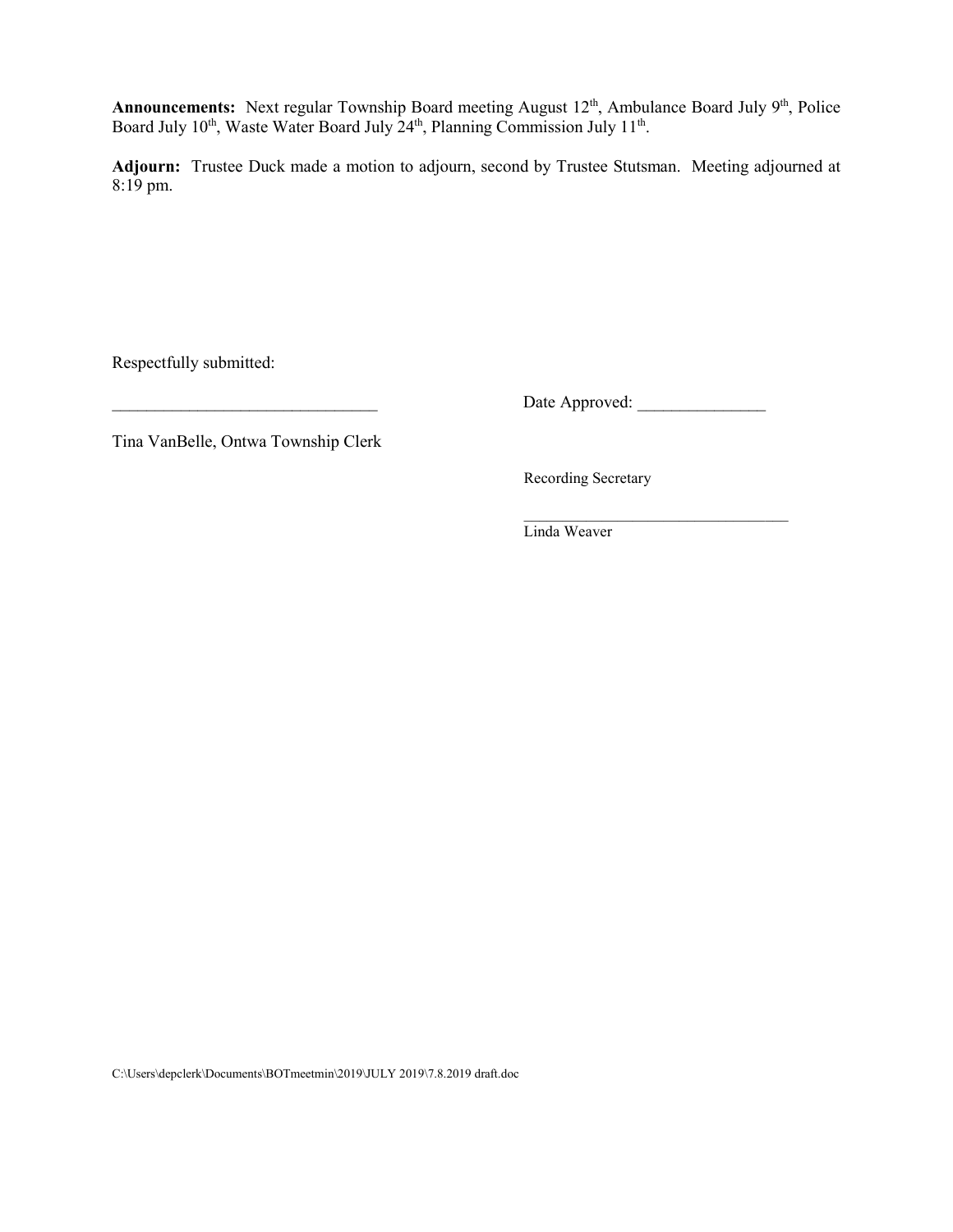Announcements: Next regular Township Board meeting August 12<sup>th</sup>, Ambulance Board July 9<sup>th</sup>, Police Board July 10<sup>th</sup>, Waste Water Board July 24<sup>th</sup>, Planning Commission July 11<sup>th</sup>.

**Adjourn:** Trustee Duck made a motion to adjourn, second by Trustee Stutsman. Meeting adjourned at 8:19 pm.

Respectfully submitted:

\_\_\_\_\_\_\_\_\_\_\_\_\_\_\_\_\_\_\_\_\_\_\_\_\_\_\_\_\_\_\_ Date Approved: \_\_\_\_\_\_\_\_\_\_\_\_\_\_\_

Tina VanBelle, Ontwa Township Clerk

Recording Secretary

 $\mathcal{L}=\underbrace{\mathcal{L}=\mathcal{L}=\mathcal{L}=\mathcal{L}=\mathcal{L}=\mathcal{L}=\mathcal{L}=\mathcal{L}=\mathcal{L}=\mathcal{L}=\mathcal{L}=\mathcal{L}=\mathcal{L}=\mathcal{L}=\mathcal{L}=\mathcal{L}=\mathcal{L}=\mathcal{L}=\mathcal{L}=\mathcal{L}=\mathcal{L}=\mathcal{L}=\mathcal{L}=\mathcal{L}=\mathcal{L}=\mathcal{L}=\mathcal{L}=\mathcal{L}=\mathcal{L}=\mathcal{L}=\mathcal{L}=\mathcal{L}=\mathcal{L}=\mathcal{L}=\mathcal{L}=\$ Linda Weaver

C:\Users\depclerk\Documents\BOTmeetmin\2019\JULY 2019\7.8.2019 draft.doc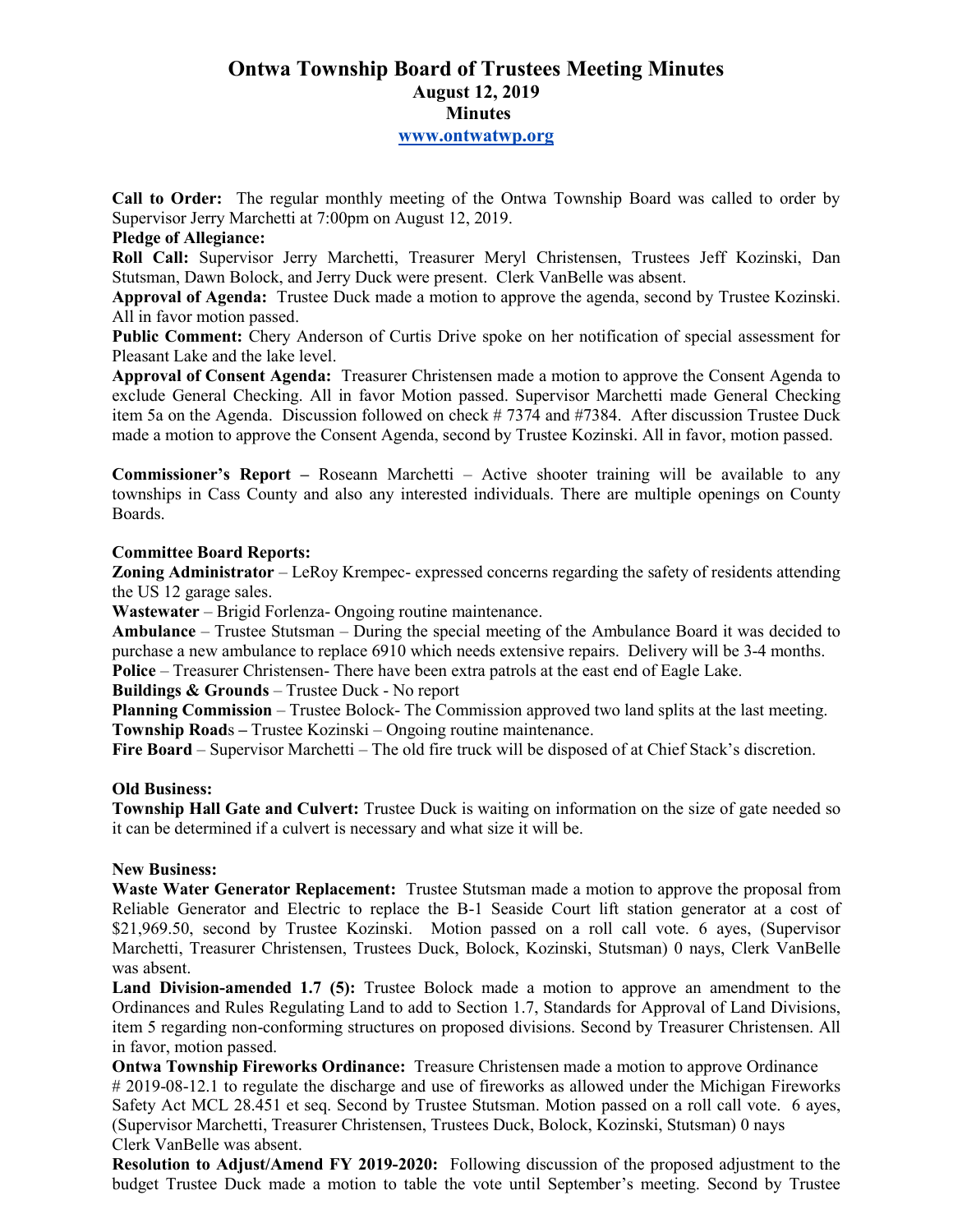# **Ontwa Township Board of Trustees Meeting Minutes August 12, 2019 Minutes**

# **www.ontwatwp.org**

**Call to Order:** The regular monthly meeting of the Ontwa Township Board was called to order by Supervisor Jerry Marchetti at 7:00pm on August 12, 2019.

# **Pledge of Allegiance:**

**Roll Call:** Supervisor Jerry Marchetti, Treasurer Meryl Christensen, Trustees Jeff Kozinski, Dan Stutsman, Dawn Bolock, and Jerry Duck were present. Clerk VanBelle was absent.

**Approval of Agenda:** Trustee Duck made a motion to approve the agenda, second by Trustee Kozinski. All in favor motion passed.

**Public Comment:** Chery Anderson of Curtis Drive spoke on her notification of special assessment for Pleasant Lake and the lake level.

**Approval of Consent Agenda:** Treasurer Christensen made a motion to approve the Consent Agenda to exclude General Checking. All in favor Motion passed. Supervisor Marchetti made General Checking item 5a on the Agenda. Discussion followed on check # 7374 and #7384. After discussion Trustee Duck made a motion to approve the Consent Agenda, second by Trustee Kozinski. All in favor, motion passed.

**Commissioner's Report** – Roseann Marchetti – Active shooter training will be available to any townships in Cass County and also any interested individuals. There are multiple openings on County Boards.

# **Committee Board Reports:**

**Zoning Administrator** – LeRoy Krempec- expressed concerns regarding the safety of residents attending the US 12 garage sales.

**Wastewater** – Brigid Forlenza- Ongoing routine maintenance.

**Ambulance** – Trustee Stutsman – During the special meeting of the Ambulance Board it was decided to purchase a new ambulance to replace 6910 which needs extensive repairs. Delivery will be 3-4 months.

**Police** – Treasurer Christensen- There have been extra patrols at the east end of Eagle Lake.

**Buildings & Grounds** – Trustee Duck - No report

**Planning Commission** – Trustee Bolock- The Commission approved two land splits at the last meeting. **Township Road**s **–** Trustee Kozinski – Ongoing routine maintenance.

**Fire Board** – Supervisor Marchetti – The old fire truck will be disposed of at Chief Stack's discretion.

# **Old Business:**

**Township Hall Gate and Culvert:** Trustee Duck is waiting on information on the size of gate needed so it can be determined if a culvert is necessary and what size it will be.

# **New Business:**

**Waste Water Generator Replacement:** Trustee Stutsman made a motion to approve the proposal from Reliable Generator and Electric to replace the B-1 Seaside Court lift station generator at a cost of \$21,969.50, second by Trustee Kozinski. Motion passed on a roll call vote. 6 ayes, (Supervisor Marchetti, Treasurer Christensen, Trustees Duck, Bolock, Kozinski, Stutsman) 0 nays, Clerk VanBelle was absent.

**Land Division-amended 1.7 (5):** Trustee Bolock made a motion to approve an amendment to the Ordinances and Rules Regulating Land to add to Section 1.7, Standards for Approval of Land Divisions, item 5 regarding non-conforming structures on proposed divisions. Second by Treasurer Christensen. All in favor, motion passed.

**Ontwa Township Fireworks Ordinance:** Treasure Christensen made a motion to approve Ordinance # 2019-08-12.1 to regulate the discharge and use of fireworks as allowed under the Michigan Fireworks Safety Act MCL 28.451 et seq. Second by Trustee Stutsman. Motion passed on a roll call vote. 6 ayes, (Supervisor Marchetti, Treasurer Christensen, Trustees Duck, Bolock, Kozinski, Stutsman) 0 nays Clerk VanBelle was absent.

**Resolution to Adjust/Amend FY 2019-2020:** Following discussion of the proposed adjustment to the budget Trustee Duck made a motion to table the vote until September's meeting. Second by Trustee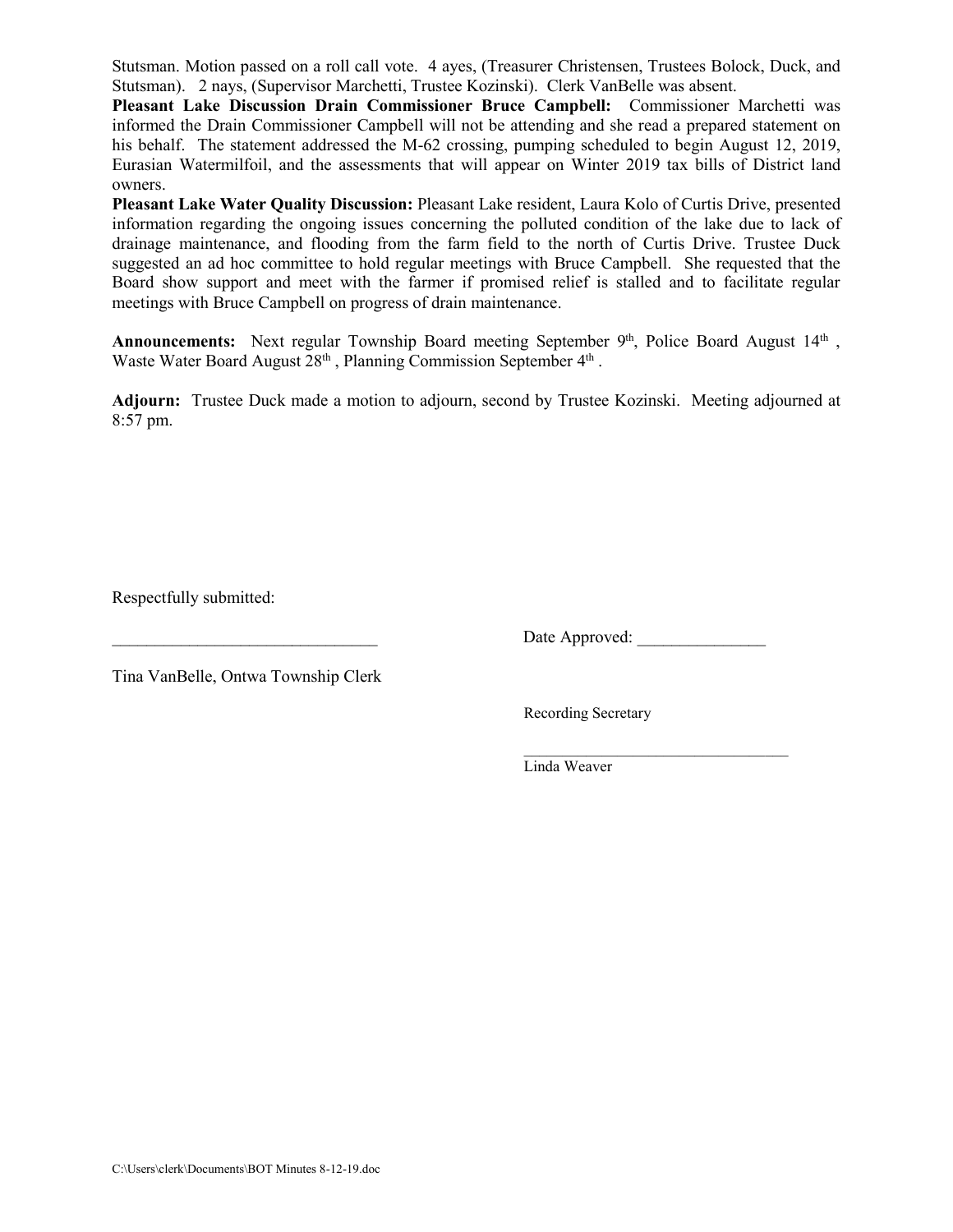Stutsman. Motion passed on a roll call vote. 4 ayes, (Treasurer Christensen, Trustees Bolock, Duck, and Stutsman). 2 nays, (Supervisor Marchetti, Trustee Kozinski). Clerk VanBelle was absent.

**Pleasant Lake Discussion Drain Commissioner Bruce Campbell:** Commissioner Marchetti was informed the Drain Commissioner Campbell will not be attending and she read a prepared statement on his behalf. The statement addressed the M-62 crossing, pumping scheduled to begin August 12, 2019, Eurasian Watermilfoil, and the assessments that will appear on Winter 2019 tax bills of District land owners.

**Pleasant Lake Water Quality Discussion:** Pleasant Lake resident, Laura Kolo of Curtis Drive, presented information regarding the ongoing issues concerning the polluted condition of the lake due to lack of drainage maintenance, and flooding from the farm field to the north of Curtis Drive. Trustee Duck suggested an ad hoc committee to hold regular meetings with Bruce Campbell. She requested that the Board show support and meet with the farmer if promised relief is stalled and to facilitate regular meetings with Bruce Campbell on progress of drain maintenance.

Announcements: Next regular Township Board meeting September 9<sup>th</sup>, Police Board August 14<sup>th</sup>, Waste Water Board August  $28<sup>th</sup>$ , Planning Commission September  $4<sup>th</sup>$ .

**Adjourn:** Trustee Duck made a motion to adjourn, second by Trustee Kozinski. Meeting adjourned at 8:57 pm.

Respectfully submitted:

Date Approved:

\_\_\_\_\_\_\_\_\_\_\_\_\_\_\_\_\_\_\_\_\_\_\_\_\_\_\_\_\_\_\_\_\_\_

Tina VanBelle, Ontwa Township Clerk

Recording Secretary

Linda Weaver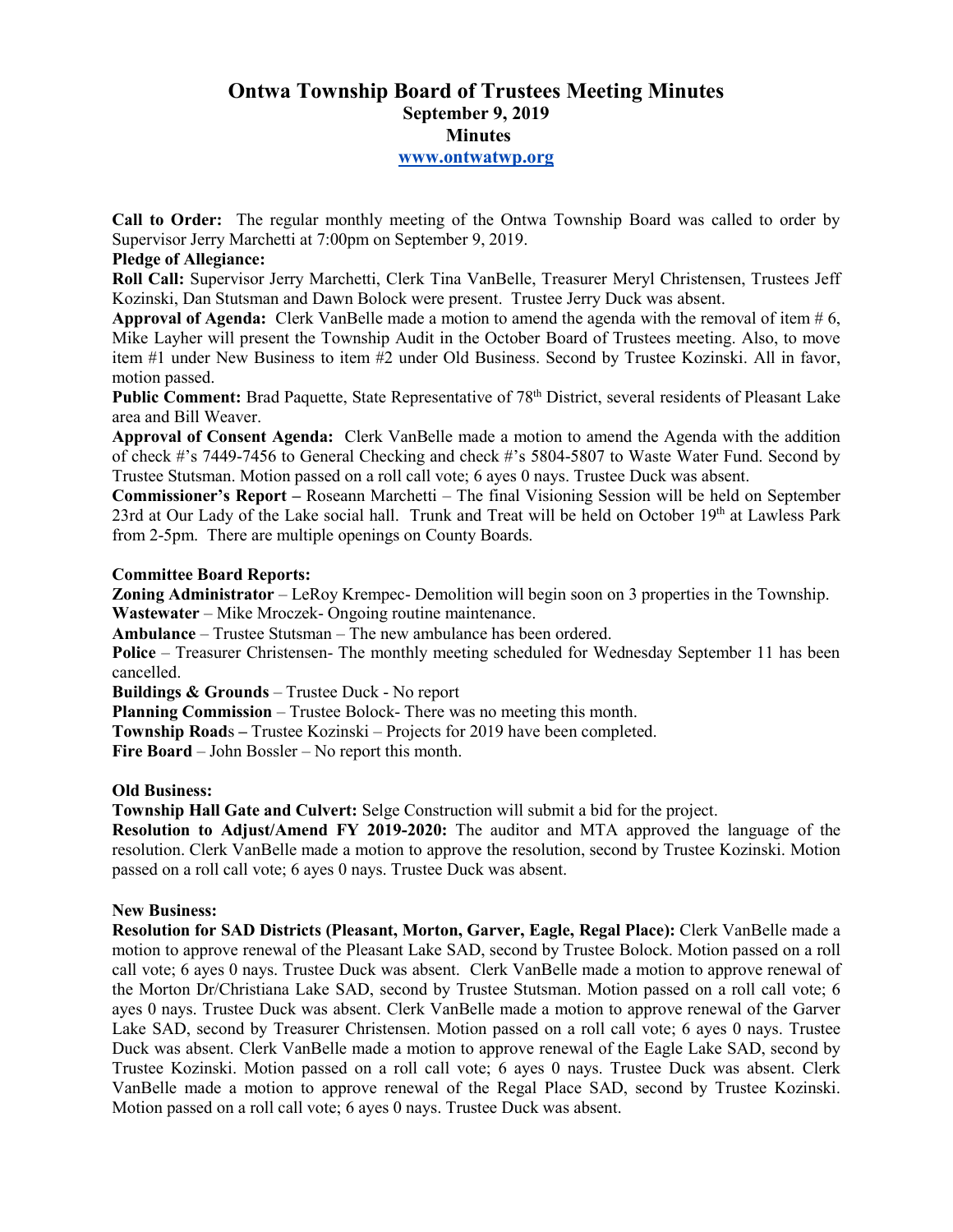# **Ontwa Township Board of Trustees Meeting Minutes September 9, 2019 Minutes www.ontwatwp.org**

**Call to Order:** The regular monthly meeting of the Ontwa Township Board was called to order by Supervisor Jerry Marchetti at 7:00pm on September 9, 2019.

# **Pledge of Allegiance:**

**Roll Call:** Supervisor Jerry Marchetti, Clerk Tina VanBelle, Treasurer Meryl Christensen, Trustees Jeff Kozinski, Dan Stutsman and Dawn Bolock were present. Trustee Jerry Duck was absent.

**Approval of Agenda:** Clerk VanBelle made a motion to amend the agenda with the removal of item # 6, Mike Layher will present the Township Audit in the October Board of Trustees meeting. Also, to move item #1 under New Business to item #2 under Old Business. Second by Trustee Kozinski. All in favor, motion passed.

**Public Comment:** Brad Paquette, State Representative of 78<sup>th</sup> District, several residents of Pleasant Lake area and Bill Weaver.

**Approval of Consent Agenda:** Clerk VanBelle made a motion to amend the Agenda with the addition of check #'s 7449-7456 to General Checking and check #'s 5804-5807 to Waste Water Fund. Second by Trustee Stutsman. Motion passed on a roll call vote; 6 ayes 0 nays. Trustee Duck was absent.

**Commissioner's Report –** Roseann Marchetti – The final Visioning Session will be held on September 23rd at Our Lady of the Lake social hall. Trunk and Treat will be held on October  $19<sup>th</sup>$  at Lawless Park from 2-5pm. There are multiple openings on County Boards.

#### **Committee Board Reports:**

**Zoning Administrator** – LeRoy Krempec- Demolition will begin soon on 3 properties in the Township. **Wastewater** – Mike Mroczek- Ongoing routine maintenance.

**Ambulance** – Trustee Stutsman – The new ambulance has been ordered.

**Police** – Treasurer Christensen- The monthly meeting scheduled for Wednesday September 11 has been cancelled.

**Buildings & Grounds** – Trustee Duck - No report

**Planning Commission** – Trustee Bolock- There was no meeting this month.

**Township Road**s **–** Trustee Kozinski – Projects for 2019 have been completed.

**Fire Board** – John Bossler – No report this month.

#### **Old Business:**

**Township Hall Gate and Culvert:** Selge Construction will submit a bid for the project.

**Resolution to Adjust/Amend FY 2019-2020:** The auditor and MTA approved the language of the resolution. Clerk VanBelle made a motion to approve the resolution, second by Trustee Kozinski. Motion passed on a roll call vote; 6 ayes 0 nays. Trustee Duck was absent.

#### **New Business:**

**Resolution for SAD Districts (Pleasant, Morton, Garver, Eagle, Regal Place):** Clerk VanBelle made a motion to approve renewal of the Pleasant Lake SAD, second by Trustee Bolock. Motion passed on a roll call vote; 6 ayes 0 nays. Trustee Duck was absent. Clerk VanBelle made a motion to approve renewal of the Morton Dr/Christiana Lake SAD, second by Trustee Stutsman. Motion passed on a roll call vote; 6 ayes 0 nays. Trustee Duck was absent. Clerk VanBelle made a motion to approve renewal of the Garver Lake SAD, second by Treasurer Christensen. Motion passed on a roll call vote; 6 ayes 0 nays. Trustee Duck was absent. Clerk VanBelle made a motion to approve renewal of the Eagle Lake SAD, second by Trustee Kozinski. Motion passed on a roll call vote; 6 ayes 0 nays. Trustee Duck was absent. Clerk VanBelle made a motion to approve renewal of the Regal Place SAD, second by Trustee Kozinski. Motion passed on a roll call vote; 6 ayes 0 nays. Trustee Duck was absent.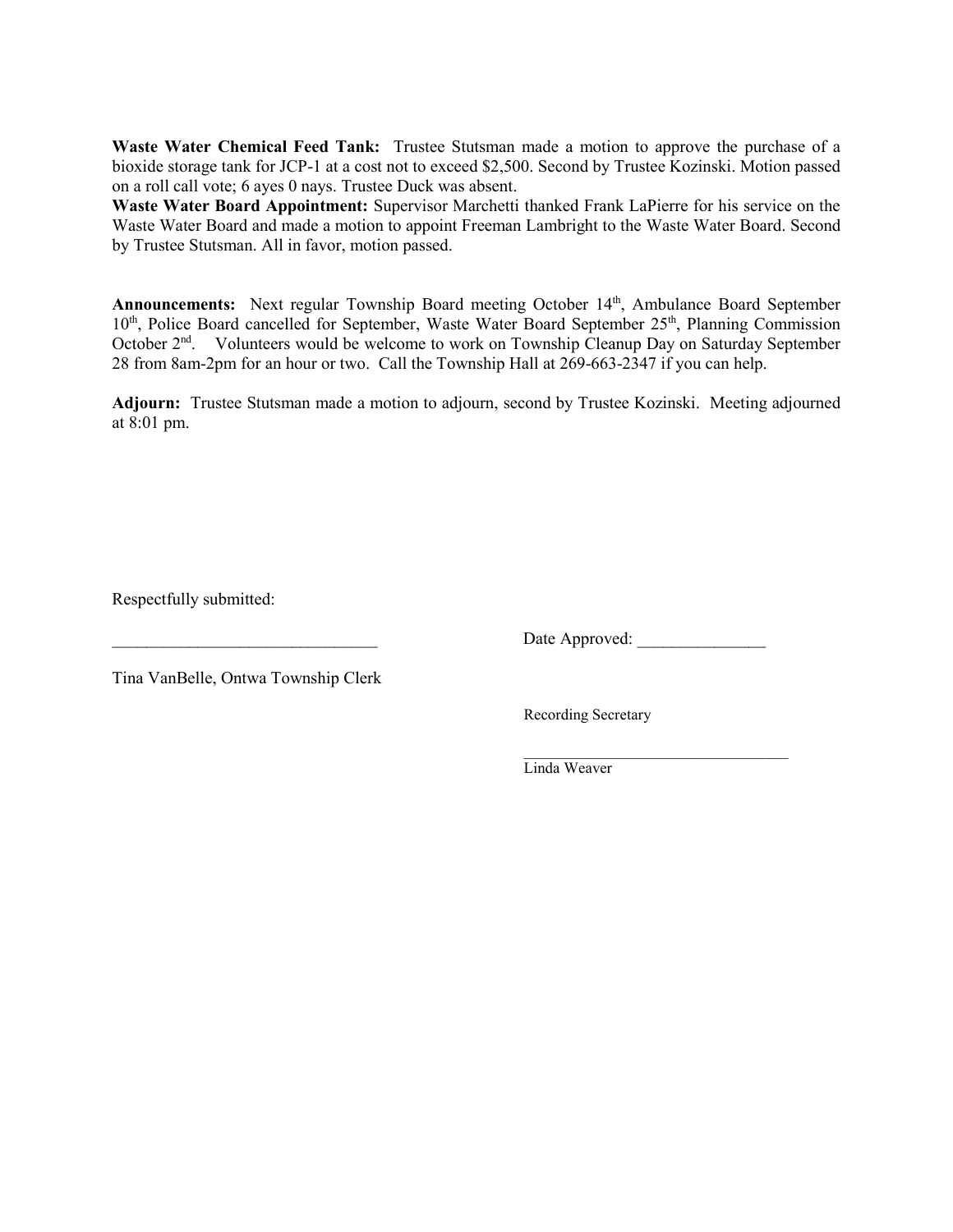**Waste Water Chemical Feed Tank:** Trustee Stutsman made a motion to approve the purchase of a bioxide storage tank for JCP-1 at a cost not to exceed \$2,500. Second by Trustee Kozinski. Motion passed on a roll call vote; 6 ayes 0 nays. Trustee Duck was absent.

**Waste Water Board Appointment:** Supervisor Marchetti thanked Frank LaPierre for his service on the Waste Water Board and made a motion to appoint Freeman Lambright to the Waste Water Board. Second by Trustee Stutsman. All in favor, motion passed.

Announcements: Next regular Township Board meeting October 14<sup>th</sup>, Ambulance Board September 10<sup>th</sup>, Police Board cancelled for September, Waste Water Board September 25<sup>th</sup>, Planning Commission October 2nd. Volunteers would be welcome to work on Township Cleanup Day on Saturday September 28 from 8am-2pm for an hour or two. Call the Township Hall at 269-663-2347 if you can help.

**Adjourn:** Trustee Stutsman made a motion to adjourn, second by Trustee Kozinski. Meeting adjourned at 8:01 pm.

Respectfully submitted:

Date Approved:

 $\mathcal{L}=\underbrace{\mathcal{L}=\mathcal{L}=\mathcal{L}=\mathcal{L}=\mathcal{L}=\mathcal{L}=\mathcal{L}=\mathcal{L}=\mathcal{L}=\mathcal{L}=\mathcal{L}=\mathcal{L}=\mathcal{L}=\mathcal{L}=\mathcal{L}=\mathcal{L}=\mathcal{L}=\mathcal{L}=\mathcal{L}=\mathcal{L}=\mathcal{L}=\mathcal{L}=\mathcal{L}=\mathcal{L}=\mathcal{L}=\mathcal{L}=\mathcal{L}=\mathcal{L}=\mathcal{L}=\mathcal{L}=\mathcal{L}=\mathcal{L}=\mathcal{L}=\mathcal{L}=\mathcal{L}=\$ 

Tina VanBelle, Ontwa Township Clerk

Recording Secretary

Linda Weaver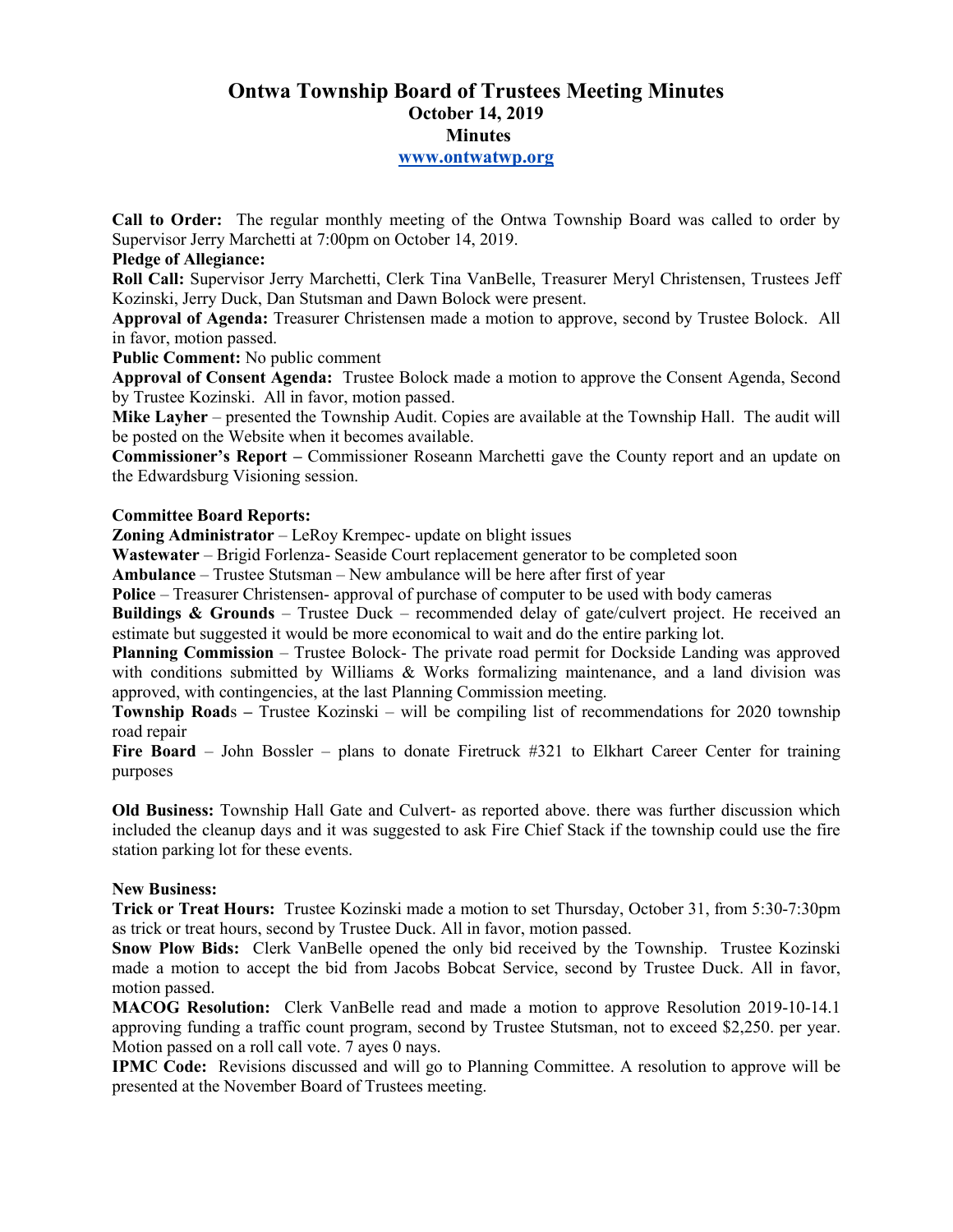# **Ontwa Township Board of Trustees Meeting Minutes October 14, 2019 Minutes www.ontwatwp.org**

**Call to Order:** The regular monthly meeting of the Ontwa Township Board was called to order by Supervisor Jerry Marchetti at 7:00pm on October 14, 2019.

### **Pledge of Allegiance:**

**Roll Call:** Supervisor Jerry Marchetti, Clerk Tina VanBelle, Treasurer Meryl Christensen, Trustees Jeff Kozinski, Jerry Duck, Dan Stutsman and Dawn Bolock were present.

**Approval of Agenda:** Treasurer Christensen made a motion to approve, second by Trustee Bolock. All in favor, motion passed.

#### **Public Comment:** No public comment

**Approval of Consent Agenda:** Trustee Bolock made a motion to approve the Consent Agenda, Second by Trustee Kozinski. All in favor, motion passed.

**Mike Layher** – presented the Township Audit. Copies are available at the Township Hall. The audit will be posted on the Website when it becomes available.

**Commissioner's Report –** Commissioner Roseann Marchetti gave the County report and an update on the Edwardsburg Visioning session.

#### **Committee Board Reports:**

**Zoning Administrator** – LeRoy Krempec- update on blight issues

**Wastewater** – Brigid Forlenza- Seaside Court replacement generator to be completed soon

**Ambulance** – Trustee Stutsman – New ambulance will be here after first of year

**Police** – Treasurer Christensen- approval of purchase of computer to be used with body cameras

**Buildings & Grounds** – Trustee Duck – recommended delay of gate/culvert project. He received an estimate but suggested it would be more economical to wait and do the entire parking lot.

**Planning Commission** – Trustee Bolock- The private road permit for Dockside Landing was approved with conditions submitted by Williams  $\&$  Works formalizing maintenance, and a land division was approved, with contingencies, at the last Planning Commission meeting.

**Township Roads** – Trustee Kozinski – will be compiling list of recommendations for 2020 township road repair

**Fire Board** – John Bossler – plans to donate Firetruck #321 to Elkhart Career Center for training purposes

**Old Business:** Township Hall Gate and Culvert- as reported above. there was further discussion which included the cleanup days and it was suggested to ask Fire Chief Stack if the township could use the fire station parking lot for these events.

#### **New Business:**

**Trick or Treat Hours:** Trustee Kozinski made a motion to set Thursday, October 31, from 5:30-7:30pm as trick or treat hours, second by Trustee Duck. All in favor, motion passed.

**Snow Plow Bids:** Clerk VanBelle opened the only bid received by the Township. Trustee Kozinski made a motion to accept the bid from Jacobs Bobcat Service, second by Trustee Duck. All in favor, motion passed.

**MACOG Resolution:** Clerk VanBelle read and made a motion to approve Resolution 2019-10-14.1 approving funding a traffic count program, second by Trustee Stutsman, not to exceed \$2,250. per year. Motion passed on a roll call vote. 7 ayes 0 nays.

**IPMC Code:** Revisions discussed and will go to Planning Committee. A resolution to approve will be presented at the November Board of Trustees meeting.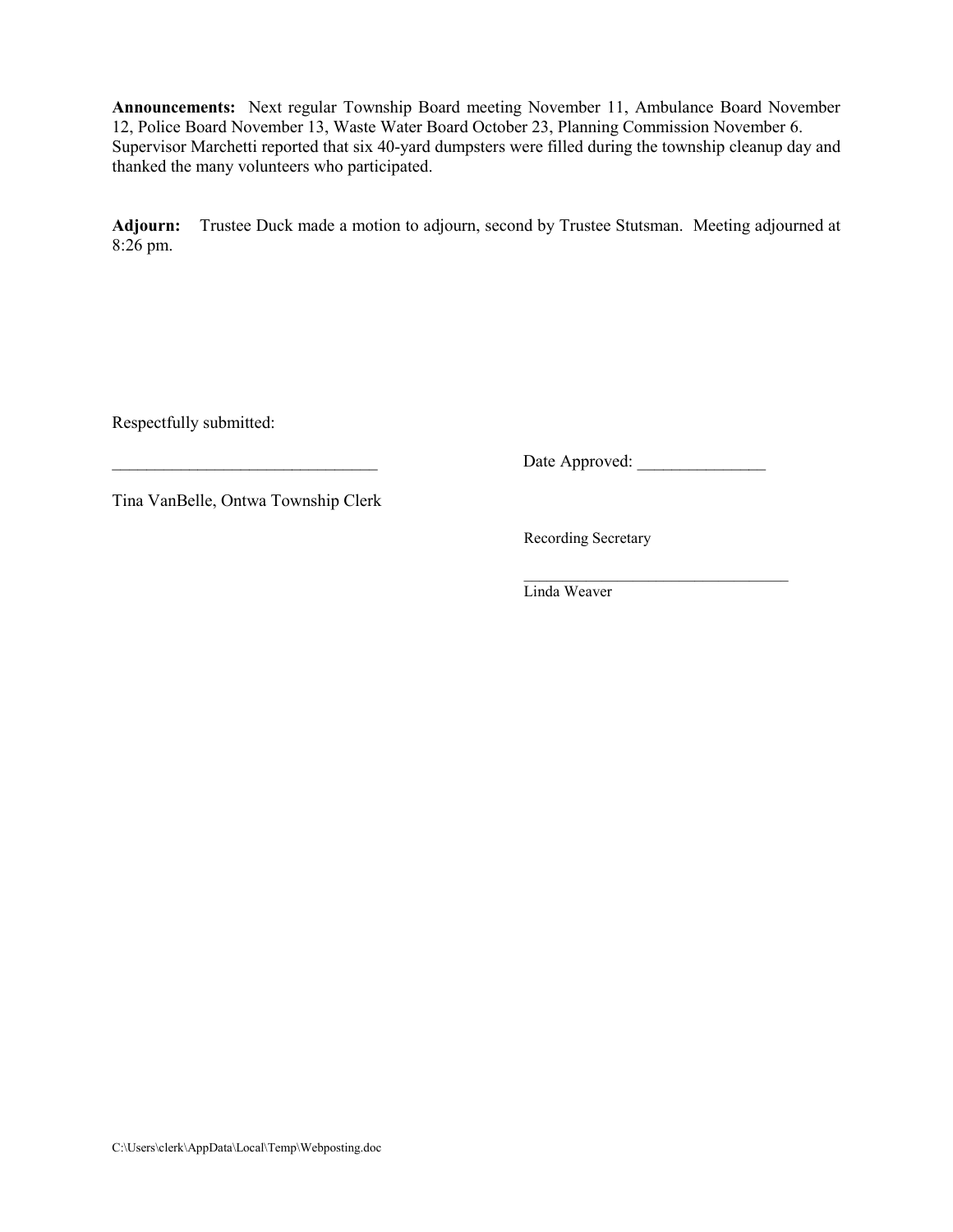**Announcements:** Next regular Township Board meeting November 11, Ambulance Board November 12, Police Board November 13, Waste Water Board October 23, Planning Commission November 6. Supervisor Marchetti reported that six 40-yard dumpsters were filled during the township cleanup day and thanked the many volunteers who participated.

**Adjourn:** Trustee Duck made a motion to adjourn, second by Trustee Stutsman. Meeting adjourned at 8:26 pm.

Respectfully submitted:

\_\_\_\_\_\_\_\_\_\_\_\_\_\_\_\_\_\_\_\_\_\_\_\_\_\_\_\_\_\_\_ Date Approved: \_\_\_\_\_\_\_\_\_\_\_\_\_\_\_

Tina VanBelle, Ontwa Township Clerk

Recording Secretary

 $\mathcal{L}=\underbrace{\mathcal{L}=\mathcal{L}=\mathcal{L}=\mathcal{L}=\mathcal{L}=\mathcal{L}=\mathcal{L}=\mathcal{L}=\mathcal{L}=\mathcal{L}=\mathcal{L}=\mathcal{L}=\mathcal{L}=\mathcal{L}=\mathcal{L}=\mathcal{L}=\mathcal{L}=\mathcal{L}=\mathcal{L}=\mathcal{L}=\mathcal{L}=\mathcal{L}=\mathcal{L}=\mathcal{L}=\mathcal{L}=\mathcal{L}=\mathcal{L}=\mathcal{L}=\mathcal{L}=\mathcal{L}=\mathcal{L}=\mathcal{L}=\mathcal{L}=\mathcal{L}=\mathcal{L}=\$ Linda Weaver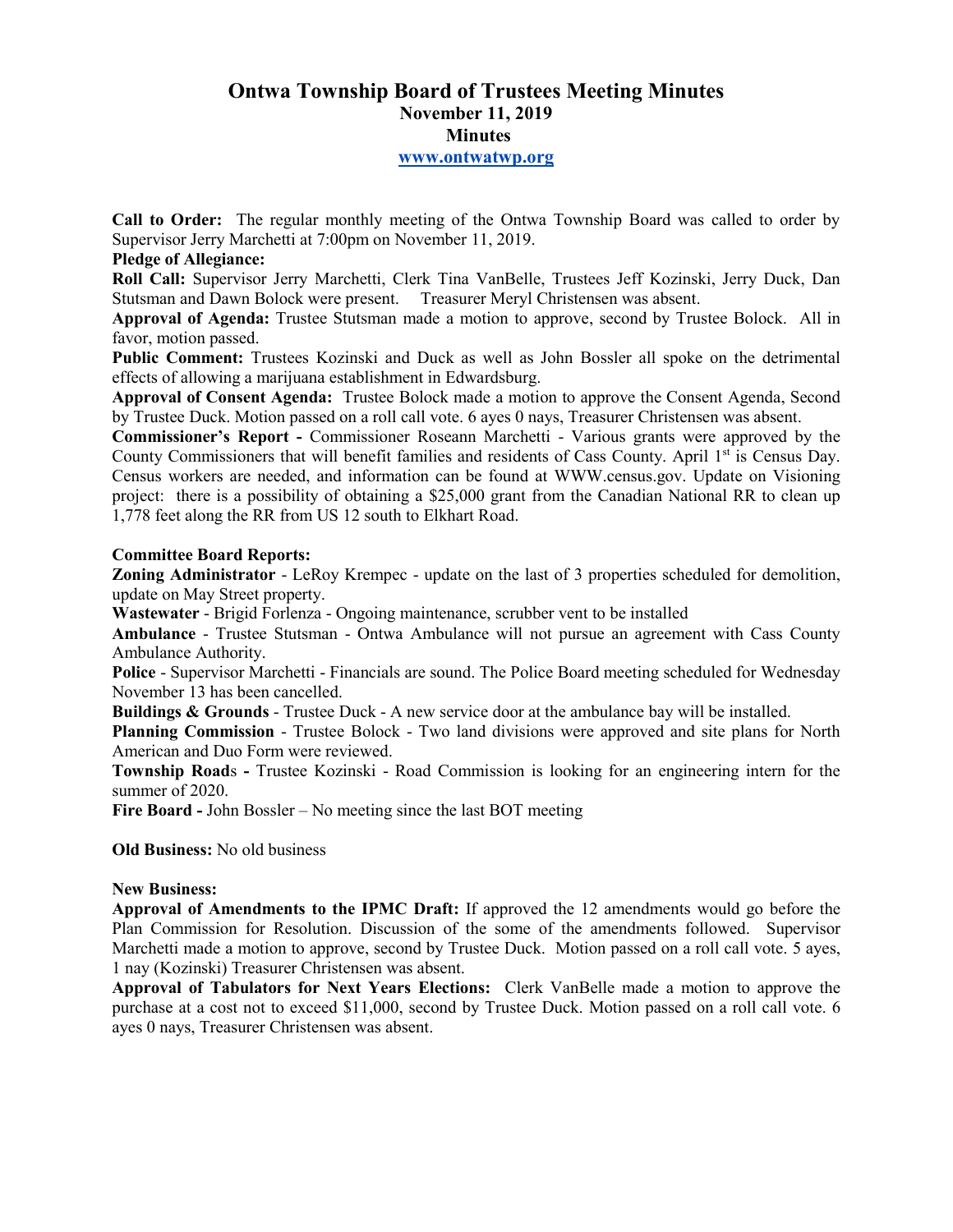# **Ontwa Township Board of Trustees Meeting Minutes November 11, 2019 Minutes www.ontwatwp.org**

**Call to Order:** The regular monthly meeting of the Ontwa Township Board was called to order by Supervisor Jerry Marchetti at 7:00pm on November 11, 2019.

### **Pledge of Allegiance:**

**Roll Call:** Supervisor Jerry Marchetti, Clerk Tina VanBelle, Trustees Jeff Kozinski, Jerry Duck, Dan Stutsman and Dawn Bolock were present. Treasurer Meryl Christensen was absent.

**Approval of Agenda:** Trustee Stutsman made a motion to approve, second by Trustee Bolock. All in favor, motion passed.

**Public Comment:** Trustees Kozinski and Duck as well as John Bossler all spoke on the detrimental effects of allowing a marijuana establishment in Edwardsburg.

**Approval of Consent Agenda:** Trustee Bolock made a motion to approve the Consent Agenda, Second by Trustee Duck. Motion passed on a roll call vote. 6 ayes 0 nays, Treasurer Christensen was absent.

**Commissioner's Report -** Commissioner Roseann Marchetti - Various grants were approved by the County Commissioners that will benefit families and residents of Cass County. April 1<sup>st</sup> is Census Day. Census workers are needed, and information can be found at WWW.census.gov. Update on Visioning project: there is a possibility of obtaining a \$25,000 grant from the Canadian National RR to clean up 1,778 feet along the RR from US 12 south to Elkhart Road.

#### **Committee Board Reports:**

**Zoning Administrator** - LeRoy Krempec - update on the last of 3 properties scheduled for demolition, update on May Street property.

**Wastewater** - Brigid Forlenza - Ongoing maintenance, scrubber vent to be installed

**Ambulance** - Trustee Stutsman - Ontwa Ambulance will not pursue an agreement with Cass County Ambulance Authority.

**Police** - Supervisor Marchetti - Financials are sound. The Police Board meeting scheduled for Wednesday November 13 has been cancelled.

**Buildings & Grounds** - Trustee Duck - A new service door at the ambulance bay will be installed.

**Planning Commission** - Trustee Bolock - Two land divisions were approved and site plans for North American and Duo Form were reviewed.

**Township Road**s **-** Trustee Kozinski - Road Commission is looking for an engineering intern for the summer of 2020.

**Fire Board -** John Bossler – No meeting since the last BOT meeting

**Old Business:** No old business

#### **New Business:**

**Approval of Amendments to the IPMC Draft:** If approved the 12 amendments would go before the Plan Commission for Resolution. Discussion of the some of the amendments followed. Supervisor Marchetti made a motion to approve, second by Trustee Duck. Motion passed on a roll call vote. 5 ayes, 1 nay (Kozinski) Treasurer Christensen was absent.

**Approval of Tabulators for Next Years Elections:** Clerk VanBelle made a motion to approve the purchase at a cost not to exceed \$11,000, second by Trustee Duck. Motion passed on a roll call vote. 6 ayes 0 nays, Treasurer Christensen was absent.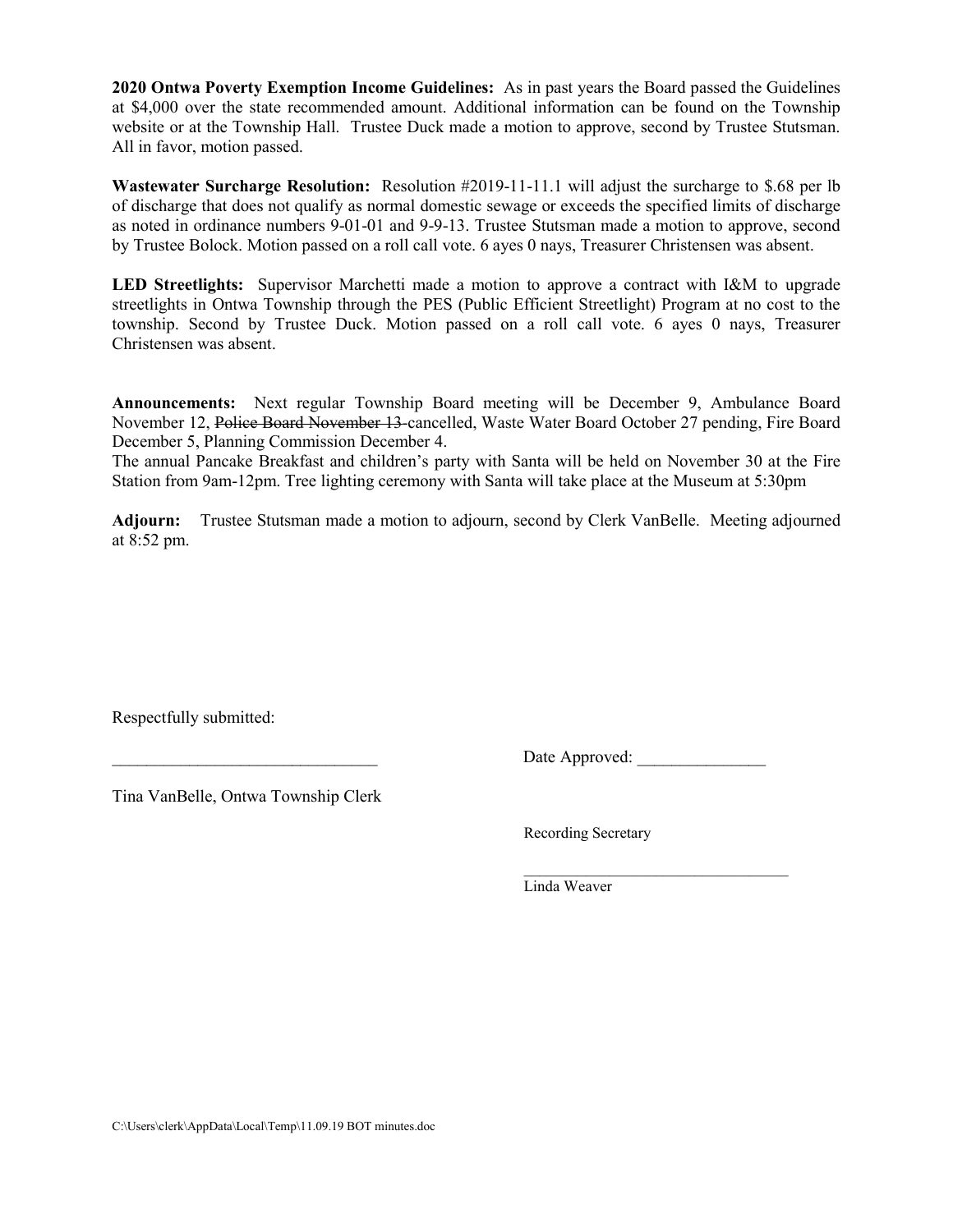**2020 Ontwa Poverty Exemption Income Guidelines:** As in past years the Board passed the Guidelines at \$4,000 over the state recommended amount. Additional information can be found on the Township website or at the Township Hall. Trustee Duck made a motion to approve, second by Trustee Stutsman. All in favor, motion passed.

**Wastewater Surcharge Resolution:** Resolution #2019-11-11.1 will adjust the surcharge to \$.68 per lb of discharge that does not qualify as normal domestic sewage or exceeds the specified limits of discharge as noted in ordinance numbers 9-01-01 and 9-9-13. Trustee Stutsman made a motion to approve, second by Trustee Bolock. Motion passed on a roll call vote. 6 ayes 0 nays, Treasurer Christensen was absent.

**LED Streetlights:** Supervisor Marchetti made a motion to approve a contract with I&M to upgrade streetlights in Ontwa Township through the PES (Public Efficient Streetlight) Program at no cost to the township. Second by Trustee Duck. Motion passed on a roll call vote. 6 ayes 0 nays, Treasurer Christensen was absent.

**Announcements:** Next regular Township Board meeting will be December 9, Ambulance Board November 12, Police Board November 13-cancelled, Waste Water Board October 27 pending, Fire Board December 5, Planning Commission December 4.

The annual Pancake Breakfast and children's party with Santa will be held on November 30 at the Fire Station from 9am-12pm. Tree lighting ceremony with Santa will take place at the Museum at 5:30pm

**Adjourn:** Trustee Stutsman made a motion to adjourn, second by Clerk VanBelle. Meeting adjourned at 8:52 pm.

Respectfully submitted:

Date Approved:

Tina VanBelle, Ontwa Township Clerk

Recording Secretary

 $\mathcal{L}=\underbrace{\mathcal{L}=\mathcal{L}=\mathcal{L}=\mathcal{L}=\mathcal{L}=\mathcal{L}=\mathcal{L}=\mathcal{L}=\mathcal{L}=\mathcal{L}=\mathcal{L}=\mathcal{L}=\mathcal{L}=\mathcal{L}=\mathcal{L}=\mathcal{L}=\mathcal{L}=\mathcal{L}=\mathcal{L}=\mathcal{L}=\mathcal{L}=\mathcal{L}=\mathcal{L}=\mathcal{L}=\mathcal{L}=\mathcal{L}=\mathcal{L}=\mathcal{L}=\mathcal{L}=\mathcal{L}=\mathcal{L}=\mathcal{L}=\mathcal{L}=\mathcal{L}=\mathcal{L}=\$ Linda Weaver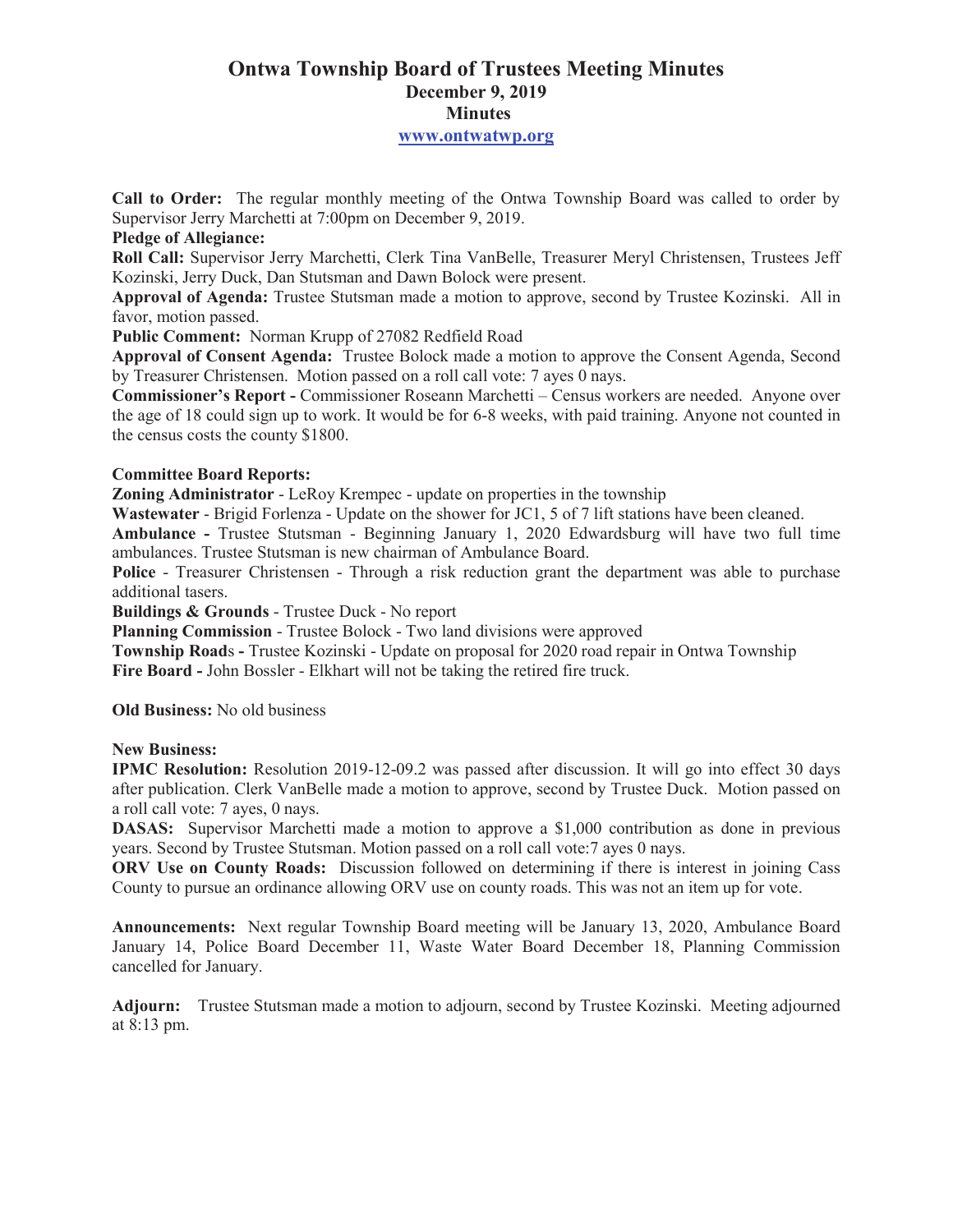# **Ontwa Township Board of Trustees Meeting Minutes December 9, 2019 Minutes**

#### **www.ontwatwp.org**

**Call to Order:** The regular monthly meeting of the Ontwa Township Board was called to order by Supervisor Jerry Marchetti at 7:00pm on December 9, 2019.

### **Pledge of Allegiance:**

**Roll Call:** Supervisor Jerry Marchetti, Clerk Tina VanBelle, Treasurer Meryl Christensen, Trustees Jeff Kozinski, Jerry Duck, Dan Stutsman and Dawn Bolock were present.

**Approval of Agenda:** Trustee Stutsman made a motion to approve, second by Trustee Kozinski. All in favor, motion passed.

**Public Comment:** Norman Krupp of 27082 Redfield Road

**Approval of Consent Agenda:** Trustee Bolock made a motion to approve the Consent Agenda, Second by Treasurer Christensen. Motion passed on a roll call vote: 7 ayes 0 nays.

**Commissioner's Report -** Commissioner Roseann Marchetti – Census workers are needed. Anyone over the age of 18 could sign up to work. It would be for 6-8 weeks, with paid training. Anyone not counted in the census costs the county \$1800.

# **Committee Board Reports:**

**Zoning Administrator** - LeRoy Krempec - update on properties in the township

**Wastewater** - Brigid Forlenza - Update on the shower for JC1, 5 of 7 lift stations have been cleaned.

**Ambulance -** Trustee Stutsman - Beginning January 1, 2020 Edwardsburg will have two full time ambulances. Trustee Stutsman is new chairman of Ambulance Board.

**Police** - Treasurer Christensen - Through a risk reduction grant the department was able to purchase additional tasers.

**Buildings & Grounds** - Trustee Duck - No report

**Planning Commission** - Trustee Bolock - Two land divisions were approved

**Township Road**s **-** Trustee Kozinski - Update on proposal for 2020 road repair in Ontwa Township **Fire Board -** John Bossler - Elkhart will not be taking the retired fire truck.

**Old Business:** No old business

# **New Business:**

**IPMC Resolution:** Resolution 2019-12-09.2 was passed after discussion. It will go into effect 30 days after publication. Clerk VanBelle made a motion to approve, second by Trustee Duck. Motion passed on a roll call vote: 7 ayes, 0 nays.

**DASAS:** Supervisor Marchetti made a motion to approve a \$1,000 contribution as done in previous years. Second by Trustee Stutsman. Motion passed on a roll call vote:7 ayes 0 nays.

**ORV Use on County Roads:** Discussion followed on determining if there is interest in joining Cass County to pursue an ordinance allowing ORV use on county roads. This was not an item up for vote.

**Announcements:** Next regular Township Board meeting will be January 13, 2020, Ambulance Board January 14, Police Board December 11, Waste Water Board December 18, Planning Commission cancelled for January.

**Adjourn:** Trustee Stutsman made a motion to adjourn, second by Trustee Kozinski. Meeting adjourned at 8:13 pm.